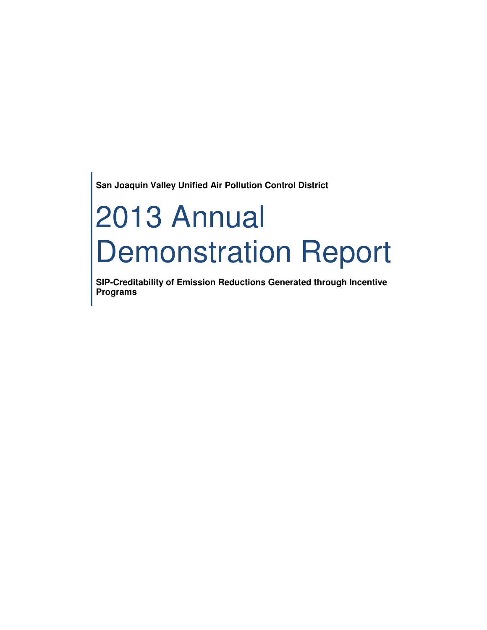**San Joaquin Valley Unified Air Pollution Control District**

# 2013 Annual Demonstration Report

**SIP-Creditability of Emission Reductions Generated through Incentive Programs**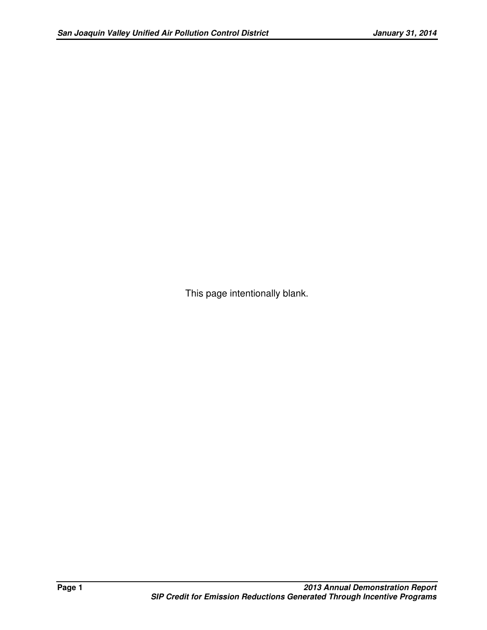This page intentionally blank.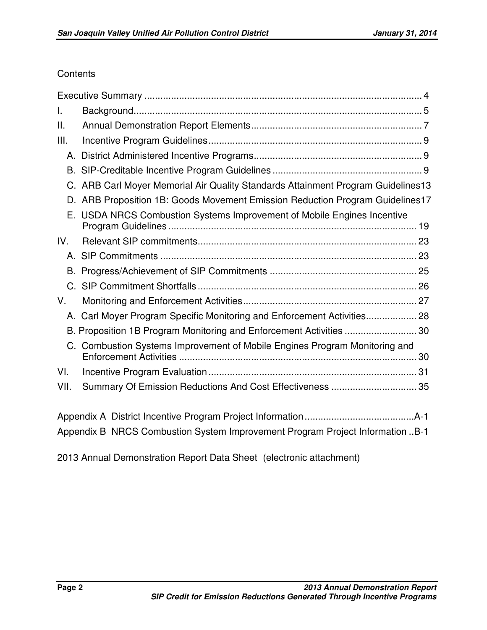# **Contents**

| I.   |                                                                                  |
|------|----------------------------------------------------------------------------------|
| Π.   |                                                                                  |
| III. |                                                                                  |
|      |                                                                                  |
| В.   |                                                                                  |
|      | C. ARB Carl Moyer Memorial Air Quality Standards Attainment Program Guidelines13 |
|      | ARB Proposition 1B: Goods Movement Emission Reduction Program Guidelines17       |
|      | E. USDA NRCS Combustion Systems Improvement of Mobile Engines Incentive          |
| IV.  |                                                                                  |
|      |                                                                                  |
|      |                                                                                  |
|      |                                                                                  |
| V.   |                                                                                  |
|      | A. Carl Moyer Program Specific Monitoring and Enforcement Activities 28          |
|      | B. Proposition 1B Program Monitoring and Enforcement Activities  30              |
|      | C. Combustion Systems Improvement of Mobile Engines Program Monitoring and       |
| VI.  |                                                                                  |
| VII. | Summary Of Emission Reductions And Cost Effectiveness  35                        |
|      |                                                                                  |
|      | Appendix B NRCS Combustion System Improvement Program Project Information B-1    |

2013 Annual Demonstration Report Data Sheet (electronic attachment)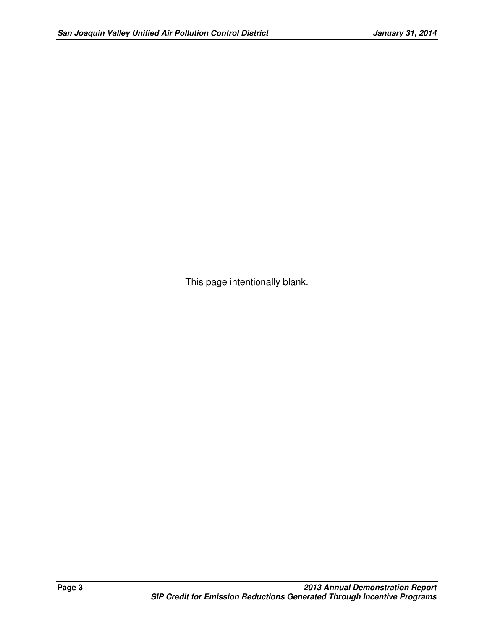This page intentionally blank.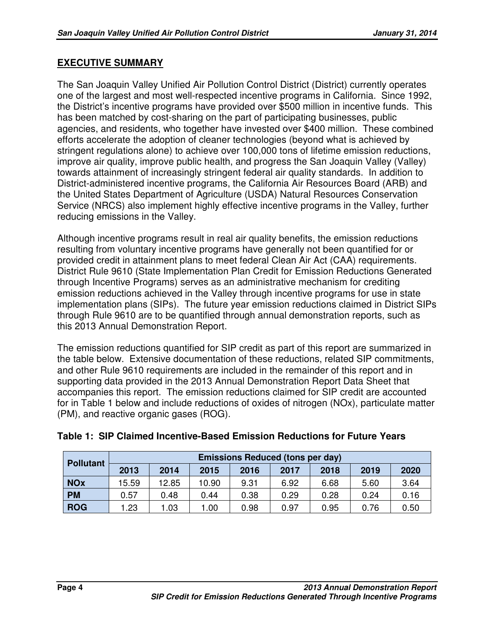# **EXECUTIVE SUMMARY**

The San Joaquin Valley Unified Air Pollution Control District (District) currently operates one of the largest and most well-respected incentive programs in California. Since 1992, the District's incentive programs have provided over \$500 million in incentive funds. This has been matched by cost-sharing on the part of participating businesses, public agencies, and residents, who together have invested over \$400 million. These combined efforts accelerate the adoption of cleaner technologies (beyond what is achieved by stringent regulations alone) to achieve over 100,000 tons of lifetime emission reductions, improve air quality, improve public health, and progress the San Joaquin Valley (Valley) towards attainment of increasingly stringent federal air quality standards. In addition to District-administered incentive programs, the California Air Resources Board (ARB) and the United States Department of Agriculture (USDA) Natural Resources Conservation Service (NRCS) also implement highly effective incentive programs in the Valley, further reducing emissions in the Valley.

Although incentive programs result in real air quality benefits, the emission reductions resulting from voluntary incentive programs have generally not been quantified for or provided credit in attainment plans to meet federal Clean Air Act (CAA) requirements. District Rule 9610 (State Implementation Plan Credit for Emission Reductions Generated through Incentive Programs) serves as an administrative mechanism for crediting emission reductions achieved in the Valley through incentive programs for use in state implementation plans (SIPs). The future year emission reductions claimed in District SIPs through Rule 9610 are to be quantified through annual demonstration reports, such as this 2013 Annual Demonstration Report.

The emission reductions quantified for SIP credit as part of this report are summarized in the table below. Extensive documentation of these reductions, related SIP commitments, and other Rule 9610 requirements are included in the remainder of this report and in supporting data provided in the 2013 Annual Demonstration Report Data Sheet that accompanies this report. The emission reductions claimed for SIP credit are accounted for in Table 1 below and include reductions of oxides of nitrogen (NOx), particulate matter (PM), and reactive organic gases (ROG).

| <b>Pollutant</b> |       |       |       |      | Emissions Reduced (tons per day) |      |      |      |
|------------------|-------|-------|-------|------|----------------------------------|------|------|------|
|                  | 2013  | 2014  | 2015  | 2016 | 2017                             | 2018 | 2019 | 2020 |
| <b>NOx</b>       | 15.59 | 12.85 | 10.90 | 9.31 | 6.92                             | 6.68 | 5.60 | 3.64 |
| <b>PM</b>        | 0.57  | 0.48  | 0.44  | 0.38 | 0.29                             | 0.28 | 0.24 | 0.16 |
| <b>ROG</b>       | 1.23  | 1.03  | 1.00  | 0.98 | 0.97                             | 0.95 | 0.76 | 0.50 |

#### **Table 1: SIP Claimed Incentive-Based Emission Reductions for Future Years**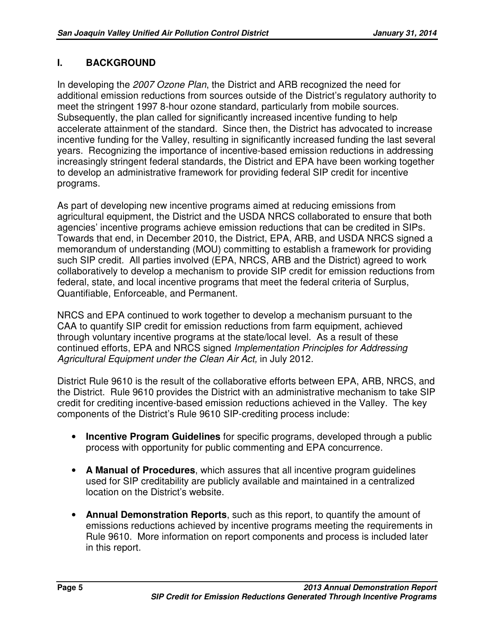# **I. BACKGROUND**

In developing the *2007 Ozone Plan*, the District and ARB recognized the need for additional emission reductions from sources outside of the District's regulatory authority to meet the stringent 1997 8-hour ozone standard, particularly from mobile sources. Subsequently, the plan called for significantly increased incentive funding to help accelerate attainment of the standard. Since then, the District has advocated to increase incentive funding for the Valley, resulting in significantly increased funding the last several years. Recognizing the importance of incentive-based emission reductions in addressing increasingly stringent federal standards, the District and EPA have been working together to develop an administrative framework for providing federal SIP credit for incentive programs.

As part of developing new incentive programs aimed at reducing emissions from agricultural equipment, the District and the USDA NRCS collaborated to ensure that both agencies' incentive programs achieve emission reductions that can be credited in SIPs. Towards that end, in December 2010, the District, EPA, ARB, and USDA NRCS signed a memorandum of understanding (MOU) committing to establish a framework for providing such SIP credit. All parties involved (EPA, NRCS, ARB and the District) agreed to work collaboratively to develop a mechanism to provide SIP credit for emission reductions from federal, state, and local incentive programs that meet the federal criteria of Surplus, Quantifiable, Enforceable, and Permanent.

NRCS and EPA continued to work together to develop a mechanism pursuant to the CAA to quantify SIP credit for emission reductions from farm equipment, achieved through voluntary incentive programs at the state/local level. As a result of these continued efforts, EPA and NRCS signed *Implementation Principles for Addressing Agricultural Equipment under the Clean Air Act,* in July 2012*.*

District Rule 9610 is the result of the collaborative efforts between EPA, ARB, NRCS, and the District. Rule 9610 provides the District with an administrative mechanism to take SIP credit for crediting incentive-based emission reductions achieved in the Valley. The key components of the District's Rule 9610 SIP-crediting process include:

- **Incentive Program Guidelines** for specific programs, developed through a public process with opportunity for public commenting and EPA concurrence.
- **A Manual of Procedures**, which assures that all incentive program guidelines used for SIP creditability are publicly available and maintained in a centralized location on the District's website.
- **Annual Demonstration Reports**, such as this report, to quantify the amount of emissions reductions achieved by incentive programs meeting the requirements in Rule 9610. More information on report components and process is included later in this report.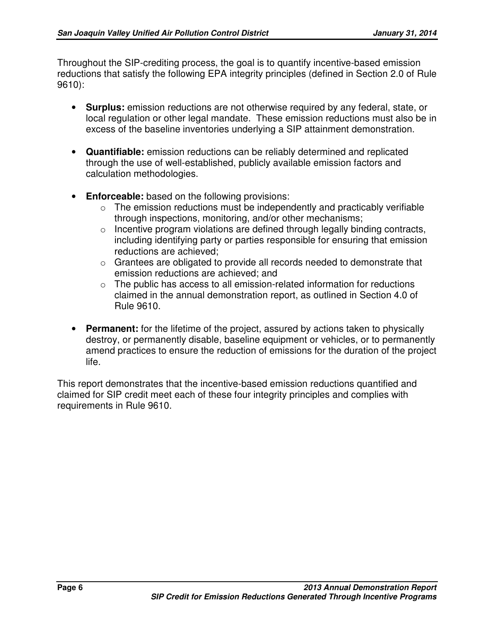Throughout the SIP-crediting process, the goal is to quantify incentive-based emission reductions that satisfy the following EPA integrity principles (defined in Section 2.0 of Rule 9610):

- **Surplus:** emission reductions are not otherwise required by any federal, state, or local regulation or other legal mandate. These emission reductions must also be in excess of the baseline inventories underlying a SIP attainment demonstration.
- **Quantifiable:** emission reductions can be reliably determined and replicated through the use of well-established, publicly available emission factors and calculation methodologies.
- **Enforceable:** based on the following provisions:
	- $\circ$  The emission reductions must be independently and practicably verifiable through inspections, monitoring, and/or other mechanisms;
	- $\circ$  Incentive program violations are defined through legally binding contracts, including identifying party or parties responsible for ensuring that emission reductions are achieved;
	- o Grantees are obligated to provide all records needed to demonstrate that emission reductions are achieved; and
	- $\circ$  The public has access to all emission-related information for reductions claimed in the annual demonstration report, as outlined in Section 4.0 of Rule 9610.
- **Permanent:** for the lifetime of the project, assured by actions taken to physically destroy, or permanently disable, baseline equipment or vehicles, or to permanently amend practices to ensure the reduction of emissions for the duration of the project life.

This report demonstrates that the incentive-based emission reductions quantified and claimed for SIP credit meet each of these four integrity principles and complies with requirements in Rule 9610.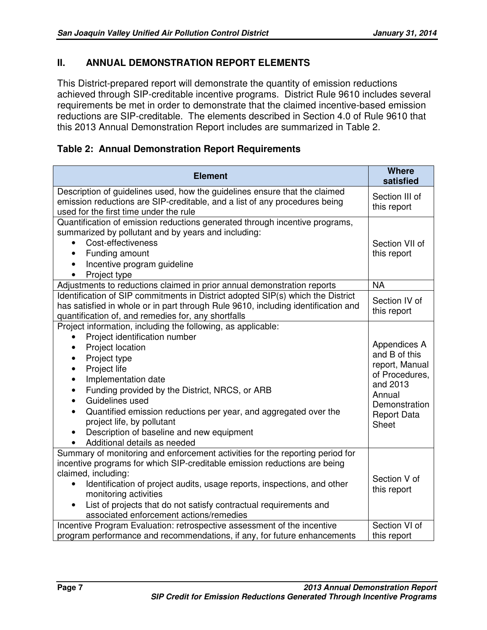# **II. ANNUAL DEMONSTRATION REPORT ELEMENTS**

This District-prepared report will demonstrate the quantity of emission reductions achieved through SIP-creditable incentive programs. District Rule 9610 includes several requirements be met in order to demonstrate that the claimed incentive-based emission reductions are SIP-creditable. The elements described in Section 4.0 of Rule 9610 that this 2013 Annual Demonstration Report includes are summarized in Table 2.

#### **Table 2: Annual Demonstration Report Requirements**

| <b>Element</b>                                                                                                                                                                                                                                                                                                                                                                                                                                                       | <b>Where</b><br>satisfied                                                                                                                      |
|----------------------------------------------------------------------------------------------------------------------------------------------------------------------------------------------------------------------------------------------------------------------------------------------------------------------------------------------------------------------------------------------------------------------------------------------------------------------|------------------------------------------------------------------------------------------------------------------------------------------------|
| Description of guidelines used, how the guidelines ensure that the claimed<br>emission reductions are SIP-creditable, and a list of any procedures being<br>used for the first time under the rule                                                                                                                                                                                                                                                                   | Section III of<br>this report                                                                                                                  |
| Quantification of emission reductions generated through incentive programs,<br>summarized by pollutant and by years and including:<br>Cost-effectiveness<br>Funding amount<br>$\bullet$<br>Incentive program guideline<br>$\bullet$<br>Project type<br>$\bullet$                                                                                                                                                                                                     | Section VII of<br>this report                                                                                                                  |
| Adjustments to reductions claimed in prior annual demonstration reports                                                                                                                                                                                                                                                                                                                                                                                              | <b>NA</b>                                                                                                                                      |
| Identification of SIP commitments in District adopted SIP(s) which the District<br>has satisfied in whole or in part through Rule 9610, including identification and<br>quantification of, and remedies for, any shortfalls                                                                                                                                                                                                                                          | Section IV of<br>this report                                                                                                                   |
| Project information, including the following, as applicable:                                                                                                                                                                                                                                                                                                                                                                                                         |                                                                                                                                                |
| Project identification number<br>Project location<br>$\bullet$<br>Project type<br>$\bullet$<br>Project life<br>$\bullet$<br>Implementation date<br>$\bullet$<br>Funding provided by the District, NRCS, or ARB<br>$\bullet$<br>Guidelines used<br>$\bullet$<br>Quantified emission reductions per year, and aggregated over the<br>$\bullet$<br>project life, by pollutant<br>Description of baseline and new equipment<br>$\bullet$<br>Additional details as needed | Appendices A<br>and B of this<br>report, Manual<br>of Procedures,<br>and 2013<br>Annual<br>Demonstration<br><b>Report Data</b><br><b>Sheet</b> |
| Summary of monitoring and enforcement activities for the reporting period for<br>incentive programs for which SIP-creditable emission reductions are being<br>claimed, including:<br>Identification of project audits, usage reports, inspections, and other<br>$\bullet$<br>monitoring activities<br>List of projects that do not satisfy contractual requirements and<br>$\bullet$<br>associated enforcement actions/remedies                                      | Section V of<br>this report                                                                                                                    |
| Incentive Program Evaluation: retrospective assessment of the incentive<br>program performance and recommendations, if any, for future enhancements                                                                                                                                                                                                                                                                                                                  | Section VI of<br>this report                                                                                                                   |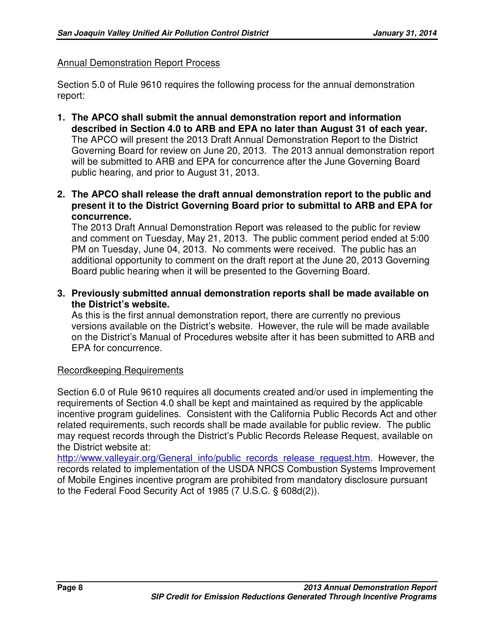#### Annual Demonstration Report Process

Section 5.0 of Rule 9610 requires the following process for the annual demonstration report:

- **1. The APCO shall submit the annual demonstration report and information described in Section 4.0 to ARB and EPA no later than August 31 of each year.**  The APCO will present the 2013 Draft Annual Demonstration Report to the District Governing Board for review on June 20, 2013. The 2013 annual demonstration report will be submitted to ARB and EPA for concurrence after the June Governing Board public hearing, and prior to August 31, 2013.
- **2. The APCO shall release the draft annual demonstration report to the public and present it to the District Governing Board prior to submittal to ARB and EPA for concurrence.**

The 2013 Draft Annual Demonstration Report was released to the public for review and comment on Tuesday, May 21, 2013. The public comment period ended at 5:00 PM on Tuesday, June 04, 2013. No comments were received. The public has an additional opportunity to comment on the draft report at the June 20, 2013 Governing Board public hearing when it will be presented to the Governing Board.

**3. Previously submitted annual demonstration reports shall be made available on the District's website.**

As this is the first annual demonstration report, there are currently no previous versions available on the District's website. However, the rule will be made available on the District's Manual of Procedures website after it has been submitted to ARB and EPA for concurrence.

#### Recordkeeping Requirements

Section 6.0 of Rule 9610 requires all documents created and/or used in implementing the requirements of Section 4.0 shall be kept and maintained as required by the applicable incentive program guidelines. Consistent with the California Public Records Act and other related requirements, such records shall be made available for public review. The public may request records through the District's Public Records Release Request, available on the District website at:

http://www.valleyair.org/General\_info/public\_records\_release\_request.htm. However, the records related to implementation of the USDA NRCS Combustion Systems Improvement of Mobile Engines incentive program are prohibited from mandatory disclosure pursuant to the Federal Food Security Act of 1985 (7 U.S.C. § 608d(2)).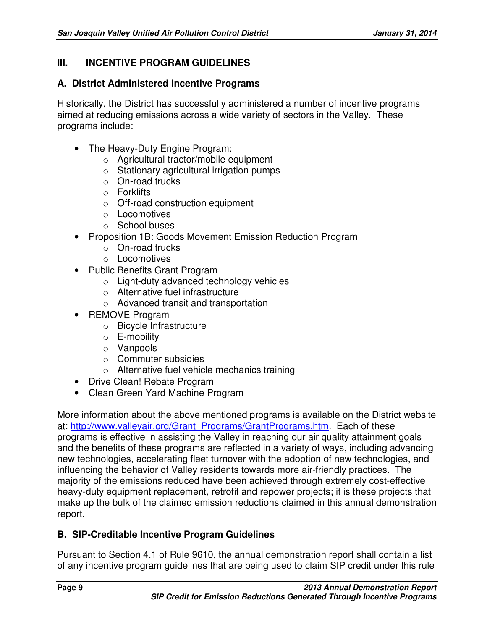# **III. INCENTIVE PROGRAM GUIDELINES**

#### **A. District Administered Incentive Programs**

Historically, the District has successfully administered a number of incentive programs aimed at reducing emissions across a wide variety of sectors in the Valley. These programs include:

- The Heavy-Duty Engine Program:
	- o Agricultural tractor/mobile equipment
	- o Stationary agricultural irrigation pumps
	- o On-road trucks
	- o Forklifts
	- o Off-road construction equipment
	- o Locomotives
	- o School buses
- Proposition 1B: Goods Movement Emission Reduction Program
	- o On-road trucks
	- o Locomotives
- Public Benefits Grant Program
	- o Light-duty advanced technology vehicles
	- o Alternative fuel infrastructure
	- o Advanced transit and transportation
- REMOVE Program
	- o Bicycle Infrastructure
	- o E-mobility
	- o Vanpools
	- o Commuter subsidies
	- o Alternative fuel vehicle mechanics training
- Drive Clean! Rebate Program
- Clean Green Yard Machine Program

More information about the above mentioned programs is available on the District website at: http://www.valleyair.org/Grant\_Programs/GrantPrograms.htm. Each of these programs is effective in assisting the Valley in reaching our air quality attainment goals and the benefits of these programs are reflected in a variety of ways, including advancing new technologies, accelerating fleet turnover with the adoption of new technologies, and influencing the behavior of Valley residents towards more air-friendly practices. The majority of the emissions reduced have been achieved through extremely cost-effective heavy-duty equipment replacement, retrofit and repower projects; it is these projects that make up the bulk of the claimed emission reductions claimed in this annual demonstration report.

#### **B. SIP-Creditable Incentive Program Guidelines**

Pursuant to Section 4.1 of Rule 9610, the annual demonstration report shall contain a list of any incentive program guidelines that are being used to claim SIP credit under this rule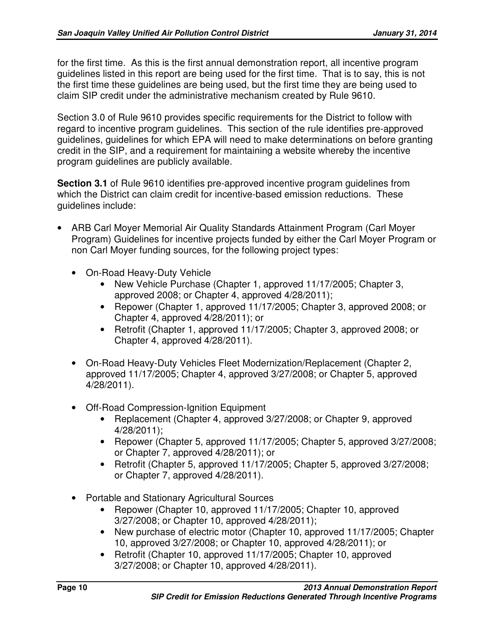for the first time. As this is the first annual demonstration report, all incentive program guidelines listed in this report are being used for the first time. That is to say, this is not the first time these guidelines are being used, but the first time they are being used to claim SIP credit under the administrative mechanism created by Rule 9610.

Section 3.0 of Rule 9610 provides specific requirements for the District to follow with regard to incentive program guidelines. This section of the rule identifies pre-approved guidelines, guidelines for which EPA will need to make determinations on before granting credit in the SIP, and a requirement for maintaining a website whereby the incentive program guidelines are publicly available.

**Section 3.1** of Rule 9610 identifies pre-approved incentive program guidelines from which the District can claim credit for incentive-based emission reductions. These guidelines include:

- ARB Carl Moyer Memorial Air Quality Standards Attainment Program (Carl Moyer Program) Guidelines for incentive projects funded by either the Carl Moyer Program or non Carl Moyer funding sources, for the following project types:
	- On-Road Heavy-Duty Vehicle
		- New Vehicle Purchase (Chapter 1, approved 11/17/2005; Chapter 3, approved 2008; or Chapter 4, approved 4/28/2011);
		- Repower (Chapter 1, approved 11/17/2005; Chapter 3, approved 2008; or Chapter 4, approved 4/28/2011); or
		- Retrofit (Chapter 1, approved 11/17/2005; Chapter 3, approved 2008; or Chapter 4, approved 4/28/2011).
	- On-Road Heavy-Duty Vehicles Fleet Modernization/Replacement (Chapter 2, approved 11/17/2005; Chapter 4, approved 3/27/2008; or Chapter 5, approved 4/28/2011).
	- Off-Road Compression-Ignition Equipment
		- Replacement (Chapter 4, approved 3/27/2008; or Chapter 9, approved 4/28/2011);
		- Repower (Chapter 5, approved 11/17/2005; Chapter 5, approved 3/27/2008; or Chapter 7, approved 4/28/2011); or
		- Retrofit (Chapter 5, approved 11/17/2005; Chapter 5, approved 3/27/2008; or Chapter 7, approved 4/28/2011).
	- Portable and Stationary Agricultural Sources
		- Repower (Chapter 10, approved 11/17/2005; Chapter 10, approved 3/27/2008; or Chapter 10, approved 4/28/2011);
		- New purchase of electric motor (Chapter 10, approved 11/17/2005; Chapter 10, approved 3/27/2008; or Chapter 10, approved 4/28/2011); or
		- Retrofit (Chapter 10, approved 11/17/2005; Chapter 10, approved 3/27/2008; or Chapter 10, approved 4/28/2011).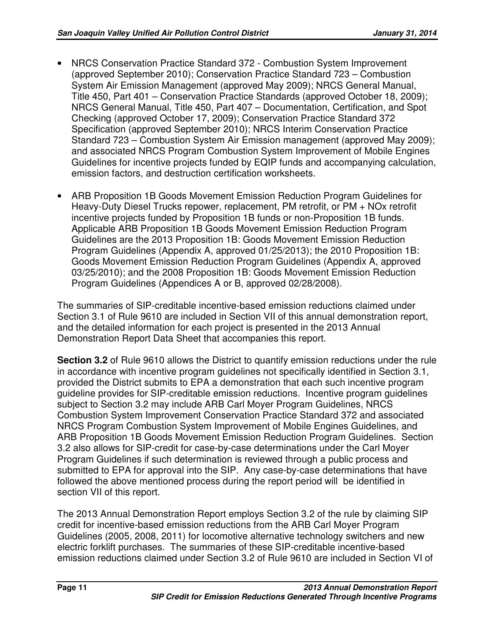- NRCS Conservation Practice Standard 372 Combustion System Improvement (approved September 2010); Conservation Practice Standard 723 – Combustion System Air Emission Management (approved May 2009); NRCS General Manual, Title 450, Part 401 – Conservation Practice Standards (approved October 18, 2009); NRCS General Manual, Title 450, Part 407 – Documentation, Certification, and Spot Checking (approved October 17, 2009); Conservation Practice Standard 372 Specification (approved September 2010); NRCS Interim Conservation Practice Standard 723 – Combustion System Air Emission management (approved May 2009); and associated NRCS Program Combustion System Improvement of Mobile Engines Guidelines for incentive projects funded by EQIP funds and accompanying calculation, emission factors, and destruction certification worksheets.
- ARB Proposition 1B Goods Movement Emission Reduction Program Guidelines for Heavy-Duty Diesel Trucks repower, replacement, PM retrofit, or PM + NOx retrofit incentive projects funded by Proposition 1B funds or non-Proposition 1B funds. Applicable ARB Proposition 1B Goods Movement Emission Reduction Program Guidelines are the 2013 Proposition 1B: Goods Movement Emission Reduction Program Guidelines (Appendix A, approved 01/25/2013); the 2010 Proposition 1B: Goods Movement Emission Reduction Program Guidelines (Appendix A, approved 03/25/2010); and the 2008 Proposition 1B: Goods Movement Emission Reduction Program Guidelines (Appendices A or B, approved 02/28/2008).

The summaries of SIP-creditable incentive-based emission reductions claimed under Section 3.1 of Rule 9610 are included in Section VII of this annual demonstration report, and the detailed information for each project is presented in the 2013 Annual Demonstration Report Data Sheet that accompanies this report.

**Section 3.2** of Rule 9610 allows the District to quantify emission reductions under the rule in accordance with incentive program guidelines not specifically identified in Section 3.1, provided the District submits to EPA a demonstration that each such incentive program guideline provides for SIP-creditable emission reductions. Incentive program guidelines subject to Section 3.2 may include ARB Carl Moyer Program Guidelines, NRCS Combustion System Improvement Conservation Practice Standard 372 and associated NRCS Program Combustion System Improvement of Mobile Engines Guidelines, and ARB Proposition 1B Goods Movement Emission Reduction Program Guidelines. Section 3.2 also allows for SIP-credit for case-by-case determinations under the Carl Moyer Program Guidelines if such determination is reviewed through a public process and submitted to EPA for approval into the SIP. Any case-by-case determinations that have followed the above mentioned process during the report period will be identified in section VII of this report.

The 2013 Annual Demonstration Report employs Section 3.2 of the rule by claiming SIP credit for incentive-based emission reductions from the ARB Carl Moyer Program Guidelines (2005, 2008, 2011) for locomotive alternative technology switchers and new electric forklift purchases. The summaries of these SIP-creditable incentive-based emission reductions claimed under Section 3.2 of Rule 9610 are included in Section VI of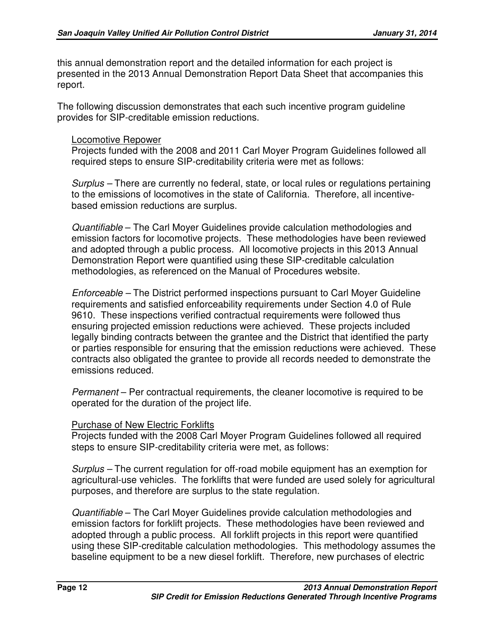this annual demonstration report and the detailed information for each project is presented in the 2013 Annual Demonstration Report Data Sheet that accompanies this report.

The following discussion demonstrates that each such incentive program guideline provides for SIP-creditable emission reductions.

#### Locomotive Repower

Projects funded with the 2008 and 2011 Carl Moyer Program Guidelines followed all required steps to ensure SIP-creditability criteria were met as follows:

*Surplus –* There are currently no federal, state, or local rules or regulations pertaining to the emissions of locomotives in the state of California. Therefore, all incentivebased emission reductions are surplus.

*Quantifiable* – The Carl Moyer Guidelines provide calculation methodologies and emission factors for locomotive projects. These methodologies have been reviewed and adopted through a public process. All locomotive projects in this 2013 Annual Demonstration Report were quantified using these SIP-creditable calculation methodologies, as referenced on the Manual of Procedures website.

*Enforceable –* The District performed inspections pursuant to Carl Moyer Guideline requirements and satisfied enforceability requirements under Section 4.0 of Rule 9610. These inspections verified contractual requirements were followed thus ensuring projected emission reductions were achieved. These projects included legally binding contracts between the grantee and the District that identified the party or parties responsible for ensuring that the emission reductions were achieved. These contracts also obligated the grantee to provide all records needed to demonstrate the emissions reduced.

*Permanent* – Per contractual requirements, the cleaner locomotive is required to be operated for the duration of the project life.

#### Purchase of New Electric Forklifts

Projects funded with the 2008 Carl Moyer Program Guidelines followed all required steps to ensure SIP-creditability criteria were met, as follows:

*Surplus –* The current regulation for off-road mobile equipment has an exemption for agricultural-use vehicles. The forklifts that were funded are used solely for agricultural purposes, and therefore are surplus to the state regulation.

*Quantifiable* – The Carl Moyer Guidelines provide calculation methodologies and emission factors for forklift projects. These methodologies have been reviewed and adopted through a public process. All forklift projects in this report were quantified using these SIP-creditable calculation methodologies. This methodology assumes the baseline equipment to be a new diesel forklift. Therefore, new purchases of electric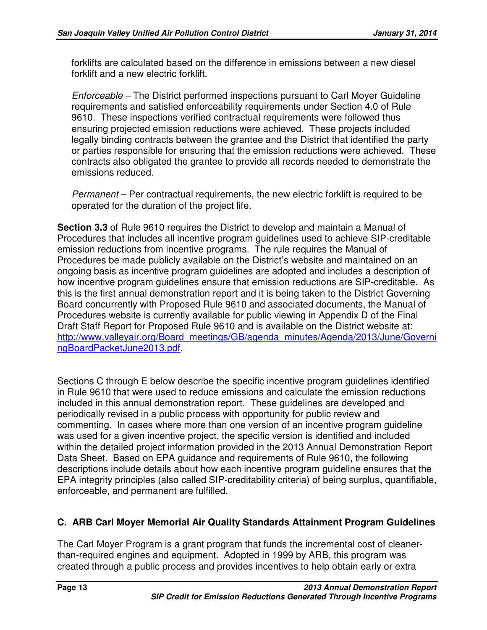forklifts are calculated based on the difference in emissions between a new diesel forklift and a new electric forklift.

*Enforceable –* The District performed inspections pursuant to Carl Moyer Guideline requirements and satisfied enforceability requirements under Section 4.0 of Rule 9610. These inspections verified contractual requirements were followed thus ensuring projected emission reductions were achieved. These projects included legally binding contracts between the grantee and the District that identified the party or parties responsible for ensuring that the emission reductions were achieved. These contracts also obligated the grantee to provide all records needed to demonstrate the emissions reduced.

*Permanent* – Per contractual requirements, the new electric forklift is required to be operated for the duration of the project life.

**Section 3.3** of Rule 9610 requires the District to develop and maintain a Manual of Procedures that includes all incentive program guidelines used to achieve SIP-creditable emission reductions from incentive programs. The rule requires the Manual of Procedures be made publicly available on the District's website and maintained on an ongoing basis as incentive program guidelines are adopted and includes a description of how incentive program guidelines ensure that emission reductions are SIP-creditable. As this is the first annual demonstration report and it is being taken to the District Governing Board concurrently with Proposed Rule 9610 and associated documents, the Manual of Procedures website is currently available for public viewing in Appendix D of the Final Draft Staff Report for Proposed Rule 9610 and is available on the District website at: http://www.valleyair.org/Board\_meetings/GB/agenda\_minutes/Agenda/2013/June/Governi ngBoardPacketJune2013.pdf.

Sections C through E below describe the specific incentive program guidelines identified in Rule 9610 that were used to reduce emissions and calculate the emission reductions included in this annual demonstration report. These guidelines are developed and periodically revised in a public process with opportunity for public review and commenting. In cases where more than one version of an incentive program guideline was used for a given incentive project, the specific version is identified and included within the detailed project information provided in the 2013 Annual Demonstration Report Data Sheet. Based on EPA guidance and requirements of Rule 9610, the following descriptions include details about how each incentive program guideline ensures that the EPA integrity principles (also called SIP-creditability criteria) of being surplus, quantifiable, enforceable, and permanent are fulfilled.

# **C. ARB Carl Moyer Memorial Air Quality Standards Attainment Program Guidelines**

The Carl Moyer Program is a grant program that funds the incremental cost of cleanerthan-required engines and equipment. Adopted in 1999 by ARB, this program was created through a public process and provides incentives to help obtain early or extra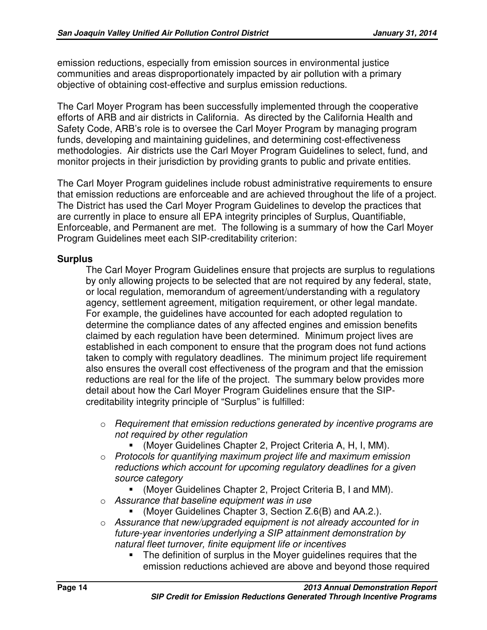emission reductions, especially from emission sources in environmental justice communities and areas disproportionately impacted by air pollution with a primary objective of obtaining cost-effective and surplus emission reductions.

The Carl Moyer Program has been successfully implemented through the cooperative efforts of ARB and air districts in California. As directed by the California Health and Safety Code, ARB's role is to oversee the Carl Moyer Program by managing program funds, developing and maintaining guidelines, and determining cost-effectiveness methodologies. Air districts use the Carl Moyer Program Guidelines to select, fund, and monitor projects in their jurisdiction by providing grants to public and private entities.

The Carl Moyer Program guidelines include robust administrative requirements to ensure that emission reductions are enforceable and are achieved throughout the life of a project. The District has used the Carl Moyer Program Guidelines to develop the practices that are currently in place to ensure all EPA integrity principles of Surplus, Quantifiable, Enforceable, and Permanent are met. The following is a summary of how the Carl Moyer Program Guidelines meet each SIP-creditability criterion:

#### **Surplus**

The Carl Moyer Program Guidelines ensure that projects are surplus to regulations by only allowing projects to be selected that are not required by any federal, state, or local regulation, memorandum of agreement/understanding with a regulatory agency, settlement agreement, mitigation requirement, or other legal mandate. For example, the guidelines have accounted for each adopted regulation to determine the compliance dates of any affected engines and emission benefits claimed by each regulation have been determined. Minimum project lives are established in each component to ensure that the program does not fund actions taken to comply with regulatory deadlines. The minimum project life requirement also ensures the overall cost effectiveness of the program and that the emission reductions are real for the life of the project. The summary below provides more detail about how the Carl Moyer Program Guidelines ensure that the SIPcreditability integrity principle of "Surplus" is fulfilled:

o *Requirement that emission reductions generated by incentive programs are not required by other regulation* 

(Moyer Guidelines Chapter 2, Project Criteria A, H, I, MM).

- o *Protocols for quantifying maximum project life and maximum emission reductions which account for upcoming regulatory deadlines for a given source category* 
	- (Moyer Guidelines Chapter 2, Project Criteria B, I and MM).
- o *Assurance that baseline equipment was in use* 
	- (Moyer Guidelines Chapter 3, Section Z.6(B) and AA.2.).
- o *Assurance that new/upgraded equipment is not already accounted for in future-year inventories underlying a SIP attainment demonstration by natural fleet turnover, finite equipment life or incentives* 
	- The definition of surplus in the Moyer guidelines requires that the emission reductions achieved are above and beyond those required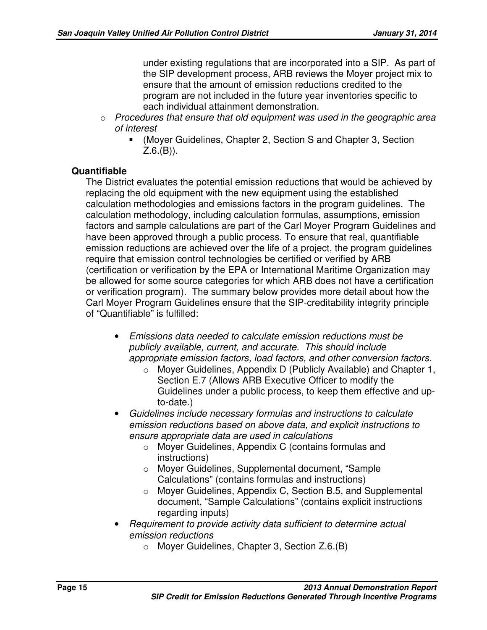under existing regulations that are incorporated into a SIP. As part of the SIP development process, ARB reviews the Moyer project mix to ensure that the amount of emission reductions credited to the program are not included in the future year inventories specific to each individual attainment demonstration.

- o *Procedures that ensure that old equipment was used in the geographic area of interest* 
	- (Moyer Guidelines, Chapter 2, Section S and Chapter 3, Section  $Z.6.(B)$ ).

#### **Quantifiable**

The District evaluates the potential emission reductions that would be achieved by replacing the old equipment with the new equipment using the established calculation methodologies and emissions factors in the program guidelines. The calculation methodology, including calculation formulas, assumptions, emission factors and sample calculations are part of the Carl Moyer Program Guidelines and have been approved through a public process. To ensure that real, quantifiable emission reductions are achieved over the life of a project, the program guidelines require that emission control technologies be certified or verified by ARB (certification or verification by the EPA or International Maritime Organization may be allowed for some source categories for which ARB does not have a certification or verification program). The summary below provides more detail about how the Carl Moyer Program Guidelines ensure that the SIP-creditability integrity principle of "Quantifiable" is fulfilled:

- *Emissions data needed to calculate emission reductions must be publicly available, current, and accurate. This should include appropriate emission factors, load factors, and other conversion factors.* 
	- o Moyer Guidelines, Appendix D (Publicly Available) and Chapter 1, Section E.7 (Allows ARB Executive Officer to modify the Guidelines under a public process, to keep them effective and upto-date.)
- *Guidelines include necessary formulas and instructions to calculate emission reductions based on above data, and explicit instructions to ensure appropriate data are used in calculations* 
	- o Moyer Guidelines, Appendix C (contains formulas and instructions)
	- o Moyer Guidelines, Supplemental document, "Sample Calculations" (contains formulas and instructions)
	- o Moyer Guidelines, Appendix C, Section B.5, and Supplemental document, "Sample Calculations" (contains explicit instructions regarding inputs)
- *Requirement to provide activity data sufficient to determine actual emission reductions* 
	- o Moyer Guidelines, Chapter 3, Section Z.6.(B)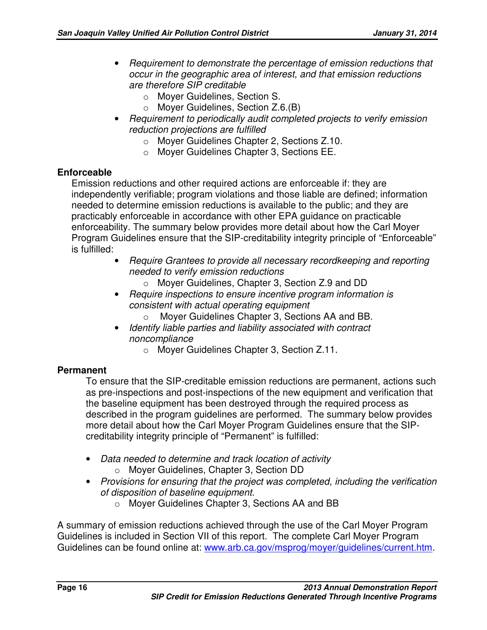- *Requirement to demonstrate the percentage of emission reductions that occur in the geographic area of interest, and that emission reductions are therefore SIP creditable* 
	- o Moyer Guidelines, Section S.
	- o Moyer Guidelines, Section Z.6.(B)
- *Requirement to periodically audit completed projects to verify emission reduction projections are fulfilled* 
	- o Moyer Guidelines Chapter 2, Sections Z.10.
	- o Moyer Guidelines Chapter 3, Sections EE.

#### **Enforceable**

Emission reductions and other required actions are enforceable if: they are independently verifiable; program violations and those liable are defined; information needed to determine emission reductions is available to the public; and they are practicably enforceable in accordance with other EPA guidance on practicable enforceability. The summary below provides more detail about how the Carl Moyer Program Guidelines ensure that the SIP-creditability integrity principle of "Enforceable" is fulfilled:

- *Require Grantees to provide all necessary recordkeeping and reporting needed to verify emission reductions* 
	- o Moyer Guidelines, Chapter 3, Section Z.9 and DD
- *Require inspections to ensure incentive program information is consistent with actual operating equipment* 
	- Moyer Guidelines Chapter 3, Sections AA and BB.
- *Identify liable parties and liability associated with contract noncompliance* 
	- o Moyer Guidelines Chapter 3, Section Z.11.

#### **Permanent**

To ensure that the SIP-creditable emission reductions are permanent, actions such as pre-inspections and post-inspections of the new equipment and verification that the baseline equipment has been destroyed through the required process as described in the program guidelines are performed. The summary below provides more detail about how the Carl Moyer Program Guidelines ensure that the SIPcreditability integrity principle of "Permanent" is fulfilled:

- *Data needed to determine and track location of activity*  o Moyer Guidelines, Chapter 3, Section DD
- *Provisions for ensuring that the project was completed, including the verification of disposition of baseline equipment.* 
	- o Moyer Guidelines Chapter 3, Sections AA and BB

A summary of emission reductions achieved through the use of the Carl Moyer Program Guidelines is included in Section VII of this report. The complete Carl Moyer Program Guidelines can be found online at: www.arb.ca.gov/msprog/moyer/guidelines/current.htm.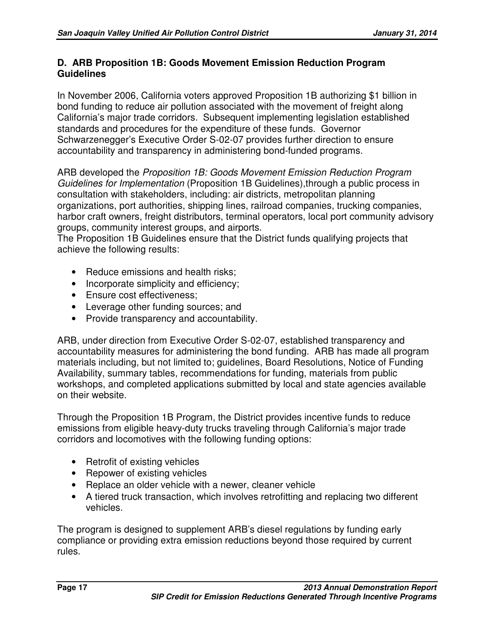#### **D. ARB Proposition 1B: Goods Movement Emission Reduction Program Guidelines**

In November 2006, California voters approved Proposition 1B authorizing \$1 billion in bond funding to reduce air pollution associated with the movement of freight along California's major trade corridors. Subsequent implementing legislation established standards and procedures for the expenditure of these funds. Governor Schwarzenegger's Executive Order S-02-07 provides further direction to ensure accountability and transparency in administering bond-funded programs.

ARB developed the *Proposition 1B: Goods Movement Emission Reduction Program Guidelines for Implementation* (Proposition 1B Guidelines),through a public process in consultation with stakeholders, including: air districts, metropolitan planning organizations, port authorities, shipping lines, railroad companies, trucking companies, harbor craft owners, freight distributors, terminal operators, local port community advisory groups, community interest groups, and airports.

The Proposition 1B Guidelines ensure that the District funds qualifying projects that achieve the following results:

- Reduce emissions and health risks;
- Incorporate simplicity and efficiency;
- Ensure cost effectiveness;
- Leverage other funding sources; and
- Provide transparency and accountability.

ARB, under direction from Executive Order S-02-07, established transparency and accountability measures for administering the bond funding. ARB has made all program materials including, but not limited to; guidelines, Board Resolutions, Notice of Funding Availability, summary tables, recommendations for funding, materials from public workshops, and completed applications submitted by local and state agencies available on their website.

Through the Proposition 1B Program, the District provides incentive funds to reduce emissions from eligible heavy-duty trucks traveling through California's major trade corridors and locomotives with the following funding options:

- Retrofit of existing vehicles
- Repower of existing vehicles
- Replace an older vehicle with a newer, cleaner vehicle
- A tiered truck transaction, which involves retrofitting and replacing two different vehicles.

The program is designed to supplement ARB's diesel regulations by funding early compliance or providing extra emission reductions beyond those required by current rules.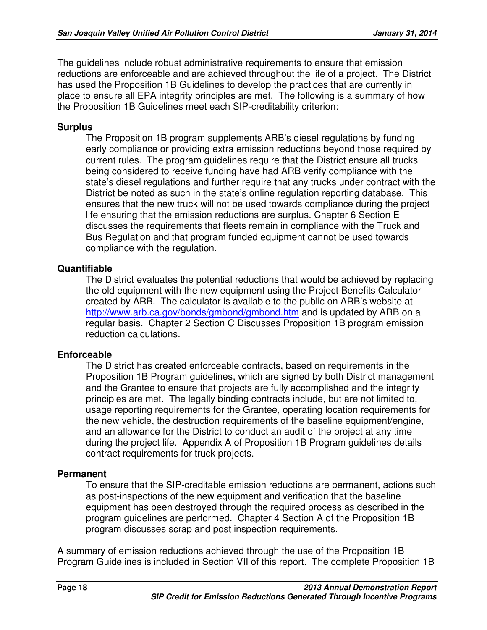The guidelines include robust administrative requirements to ensure that emission reductions are enforceable and are achieved throughout the life of a project. The District has used the Proposition 1B Guidelines to develop the practices that are currently in place to ensure all EPA integrity principles are met. The following is a summary of how the Proposition 1B Guidelines meet each SIP-creditability criterion:

#### **Surplus**

The Proposition 1B program supplements ARB's diesel regulations by funding early compliance or providing extra emission reductions beyond those required by current rules. The program guidelines require that the District ensure all trucks being considered to receive funding have had ARB verify compliance with the state's diesel regulations and further require that any trucks under contract with the District be noted as such in the state's online regulation reporting database. This ensures that the new truck will not be used towards compliance during the project life ensuring that the emission reductions are surplus. Chapter 6 Section E discusses the requirements that fleets remain in compliance with the Truck and Bus Regulation and that program funded equipment cannot be used towards compliance with the regulation.

#### **Quantifiable**

The District evaluates the potential reductions that would be achieved by replacing the old equipment with the new equipment using the Project Benefits Calculator created by ARB. The calculator is available to the public on ARB's website at http://www.arb.ca.gov/bonds/gmbond/gmbond.htm and is updated by ARB on a regular basis. Chapter 2 Section C Discusses Proposition 1B program emission reduction calculations.

#### **Enforceable**

The District has created enforceable contracts, based on requirements in the Proposition 1B Program guidelines, which are signed by both District management and the Grantee to ensure that projects are fully accomplished and the integrity principles are met. The legally binding contracts include, but are not limited to, usage reporting requirements for the Grantee, operating location requirements for the new vehicle, the destruction requirements of the baseline equipment/engine, and an allowance for the District to conduct an audit of the project at any time during the project life. Appendix A of Proposition 1B Program guidelines details contract requirements for truck projects.

#### **Permanent**

To ensure that the SIP-creditable emission reductions are permanent, actions such as post-inspections of the new equipment and verification that the baseline equipment has been destroyed through the required process as described in the program guidelines are performed. Chapter 4 Section A of the Proposition 1B program discusses scrap and post inspection requirements.

A summary of emission reductions achieved through the use of the Proposition 1B Program Guidelines is included in Section VII of this report. The complete Proposition 1B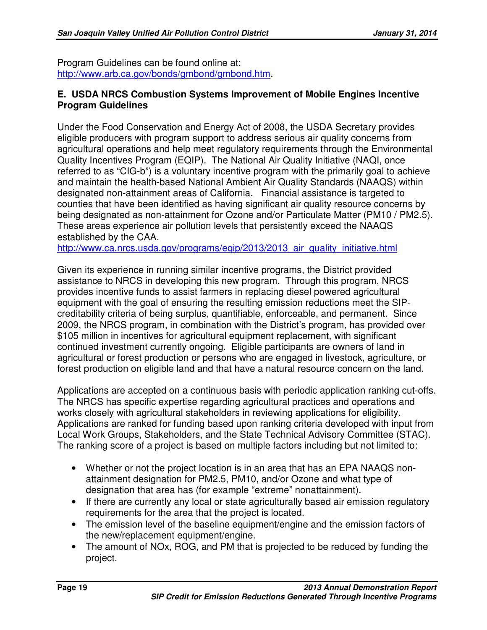Program Guidelines can be found online at: http://www.arb.ca.gov/bonds/gmbond/gmbond.htm.

#### **E. USDA NRCS Combustion Systems Improvement of Mobile Engines Incentive Program Guidelines**

Under the Food Conservation and Energy Act of 2008, the USDA Secretary provides eligible producers with program support to address serious air quality concerns from agricultural operations and help meet regulatory requirements through the Environmental Quality Incentives Program (EQIP). The National Air Quality Initiative (NAQI, once referred to as "CIG-b") is a voluntary incentive program with the primarily goal to achieve and maintain the health-based National Ambient Air Quality Standards (NAAQS) within designated non-attainment areas of California. Financial assistance is targeted to counties that have been identified as having significant air quality resource concerns by being designated as non-attainment for Ozone and/or Particulate Matter (PM10 / PM2.5). These areas experience air pollution levels that persistently exceed the NAAQS established by the CAA.

http://www.ca.nrcs.usda.gov/programs/eqip/2013/2013\_air\_quality\_initiative.html

Given its experience in running similar incentive programs, the District provided assistance to NRCS in developing this new program. Through this program, NRCS provides incentive funds to assist farmers in replacing diesel powered agricultural equipment with the goal of ensuring the resulting emission reductions meet the SIPcreditability criteria of being surplus, quantifiable, enforceable, and permanent. Since 2009, the NRCS program, in combination with the District's program, has provided over \$105 million in incentives for agricultural equipment replacement, with significant continued investment currently ongoing. Eligible participants are owners of land in agricultural or forest production or persons who are engaged in livestock, agriculture, or forest production on eligible land and that have a natural resource concern on the land.

Applications are accepted on a continuous basis with periodic application ranking cut-offs. The NRCS has specific expertise regarding agricultural practices and operations and works closely with agricultural stakeholders in reviewing applications for eligibility. Applications are ranked for funding based upon ranking criteria developed with input from Local Work Groups, Stakeholders, and the State Technical Advisory Committee (STAC). The ranking score of a project is based on multiple factors including but not limited to:

- Whether or not the project location is in an area that has an EPA NAAQS nonattainment designation for PM2.5, PM10, and/or Ozone and what type of designation that area has (for example "extreme" nonattainment).
- If there are currently any local or state agriculturally based air emission regulatory requirements for the area that the project is located.
- The emission level of the baseline equipment/engine and the emission factors of the new/replacement equipment/engine.
- The amount of NOx, ROG, and PM that is projected to be reduced by funding the project.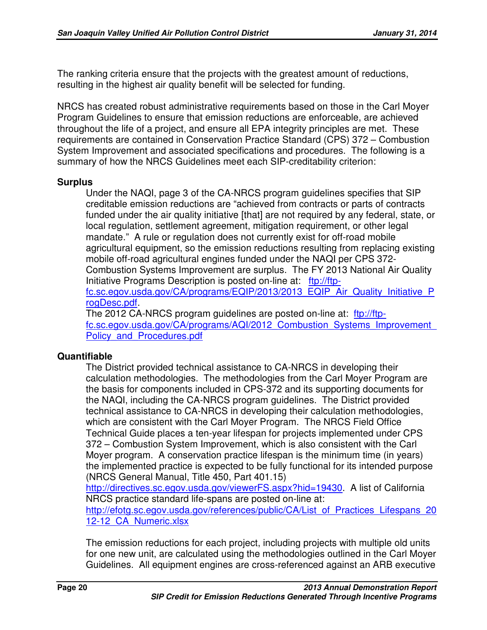The ranking criteria ensure that the projects with the greatest amount of reductions, resulting in the highest air quality benefit will be selected for funding.

NRCS has created robust administrative requirements based on those in the Carl Moyer Program Guidelines to ensure that emission reductions are enforceable, are achieved throughout the life of a project, and ensure all EPA integrity principles are met. These requirements are contained in Conservation Practice Standard (CPS) 372 – Combustion System Improvement and associated specifications and procedures. The following is a summary of how the NRCS Guidelines meet each SIP-creditability criterion:

# **Surplus**

Under the NAQI, page 3 of the CA-NRCS program guidelines specifies that SIP creditable emission reductions are "achieved from contracts or parts of contracts funded under the air quality initiative [that] are not required by any federal, state, or local regulation, settlement agreement, mitigation requirement, or other legal mandate." A rule or regulation does not currently exist for off-road mobile agricultural equipment, so the emission reductions resulting from replacing existing mobile off-road agricultural engines funded under the NAQI per CPS 372- Combustion Systems Improvement are surplus. The FY 2013 National Air Quality Initiative Programs Description is posted on-line at: ftp://ftpfc.sc.egov.usda.gov/CA/programs/EQIP/2013/2013 EQIP Air Quality Initiative P rogDesc.pdf.

The 2012 CA-NRCS program guidelines are posted on-line at: ftp://ftpfc.sc.egov.usda.gov/CA/programs/AQI/2012\_Combustion\_Systems\_Improvement\_ Policy and Procedures.pdf

# **Quantifiable**

The District provided technical assistance to CA-NRCS in developing their calculation methodologies. The methodologies from the Carl Moyer Program are the basis for components included in CPS-372 and its supporting documents for the NAQI, including the CA-NRCS program guidelines. The District provided technical assistance to CA-NRCS in developing their calculation methodologies, which are consistent with the Carl Moyer Program. The NRCS Field Office Technical Guide places a ten-year lifespan for projects implemented under CPS 372 – Combustion System Improvement, which is also consistent with the Carl Moyer program. A conservation practice lifespan is the minimum time (in years) the implemented practice is expected to be fully functional for its intended purpose (NRCS General Manual, Title 450, Part 401.15) http://directives.sc.egov.usda.gov/viewerFS.aspx?hid=19430. A list of California NRCS practice standard life-spans are posted on-line at: http://efotg.sc.egov.usda.gov/references/public/CA/List\_of\_Practices\_Lifespans\_20 12-12\_CA\_Numeric.xlsx

The emission reductions for each project, including projects with multiple old units for one new unit, are calculated using the methodologies outlined in the Carl Moyer Guidelines. All equipment engines are cross-referenced against an ARB executive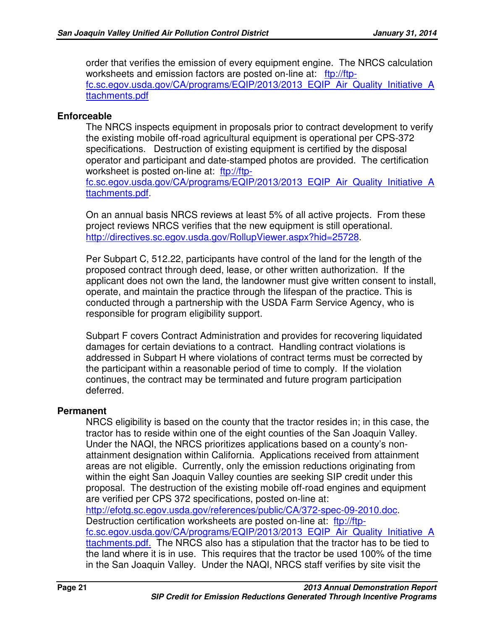order that verifies the emission of every equipment engine. The NRCS calculation worksheets and emission factors are posted on-line at: ftp://ftpfc.sc.egov.usda.gov/CA/programs/EQIP/2013/2013\_EQIP\_Air\_Quality\_Initiative\_A ttachments.pdf

#### **Enforceable**

The NRCS inspects equipment in proposals prior to contract development to verify the existing mobile off-road agricultural equipment is operational per CPS-372 specifications. Destruction of existing equipment is certified by the disposal operator and participant and date-stamped photos are provided. The certification worksheet is posted on-line at: ftp://ftp-

fc.sc.egov.usda.gov/CA/programs/EQIP/2013/2013 EQIP Air Quality Initiative A ttachments.pdf.

On an annual basis NRCS reviews at least 5% of all active projects. From these project reviews NRCS verifies that the new equipment is still operational. http://directives.sc.egov.usda.gov/RollupViewer.aspx?hid=25728.

Per Subpart C, 512.22, participants have control of the land for the length of the proposed contract through deed, lease, or other written authorization. If the applicant does not own the land, the landowner must give written consent to install, operate, and maintain the practice through the lifespan of the practice. This is conducted through a partnership with the USDA Farm Service Agency, who is responsible for program eligibility support.

Subpart F covers Contract Administration and provides for recovering liquidated damages for certain deviations to a contract. Handling contract violations is addressed in Subpart H where violations of contract terms must be corrected by the participant within a reasonable period of time to comply. If the violation continues, the contract may be terminated and future program participation deferred.

#### **Permanent**

NRCS eligibility is based on the county that the tractor resides in; in this case, the tractor has to reside within one of the eight counties of the San Joaquin Valley. Under the NAQI, the NRCS prioritizes applications based on a county's nonattainment designation within California. Applications received from attainment areas are not eligible. Currently, only the emission reductions originating from within the eight San Joaquin Valley counties are seeking SIP credit under this proposal. The destruction of the existing mobile off-road engines and equipment are verified per CPS 372 specifications, posted on-line at: http://efotg.sc.egov.usda.gov/references/public/CA/372-spec-09-2010.doc. Destruction certification worksheets are posted on-line at: ftp://ftpfc.sc.egov.usda.gov/CA/programs/EQIP/2013/2013 EQIP Air Quality Initiative A ttachments.pdf. The NRCS also has a stipulation that the tractor has to be tied to the land where it is in use. This requires that the tractor be used 100% of the time in the San Joaquin Valley. Under the NAQI, NRCS staff verifies by site visit the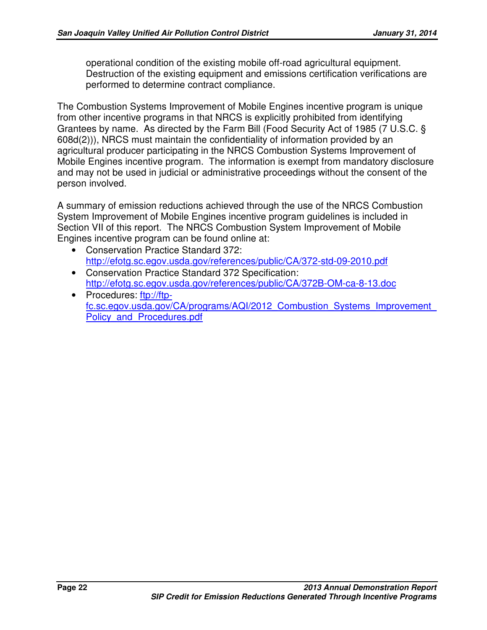operational condition of the existing mobile off-road agricultural equipment. Destruction of the existing equipment and emissions certification verifications are performed to determine contract compliance.

The Combustion Systems Improvement of Mobile Engines incentive program is unique from other incentive programs in that NRCS is explicitly prohibited from identifying Grantees by name. As directed by the Farm Bill (Food Security Act of 1985 (7 U.S.C. § 608d(2))), NRCS must maintain the confidentiality of information provided by an agricultural producer participating in the NRCS Combustion Systems Improvement of Mobile Engines incentive program. The information is exempt from mandatory disclosure and may not be used in judicial or administrative proceedings without the consent of the person involved.

A summary of emission reductions achieved through the use of the NRCS Combustion System Improvement of Mobile Engines incentive program guidelines is included in Section VII of this report. The NRCS Combustion System Improvement of Mobile Engines incentive program can be found online at:

- Conservation Practice Standard 372: http://efotg.sc.egov.usda.gov/references/public/CA/372-std-09-2010.pdf
- Conservation Practice Standard 372 Specification: http://efotg.sc.egov.usda.gov/references/public/CA/372B-OM-ca-8-13.doc
- Procedures: ftp://ftpfc.sc.egov.usda.gov/CA/programs/AQI/2012\_Combustion\_Systems\_Improvement\_ Policy and Procedures.pdf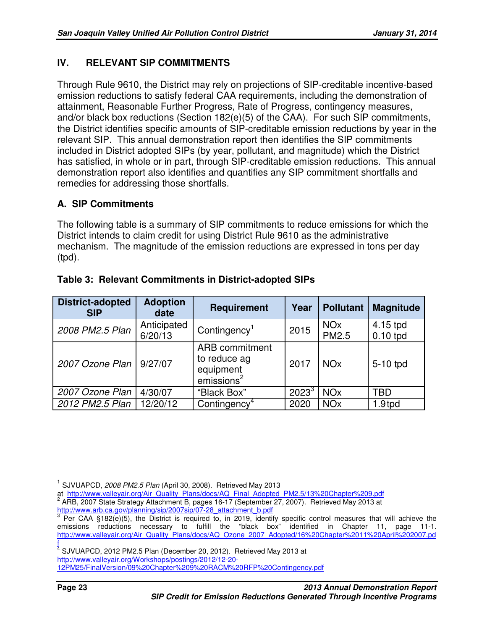# **IV. RELEVANT SIP COMMITMENTS**

Through Rule 9610, the District may rely on projections of SIP-creditable incentive-based emission reductions to satisfy federal CAA requirements, including the demonstration of attainment, Reasonable Further Progress, Rate of Progress, contingency measures, and/or black box reductions (Section 182(e)(5) of the CAA). For such SIP commitments, the District identifies specific amounts of SIP-creditable emission reductions by year in the relevant SIP. This annual demonstration report then identifies the SIP commitments included in District adopted SIPs (by year, pollutant, and magnitude) which the District has satisfied, in whole or in part, through SIP-creditable emission reductions. This annual demonstration report also identifies and quantifies any SIP commitment shortfalls and remedies for addressing those shortfalls.

# **A. SIP Commitments**

The following table is a summary of SIP commitments to reduce emissions for which the District intends to claim credit for using District Rule 9610 as the administrative mechanism. The magnitude of the emission reductions are expressed in tons per day (tpd).

| <b>District-adopted</b><br><b>SIP</b> | <b>Adoption</b><br>date | Requirement                                                                  | Year     | <b>Pollutant</b>                      | <b>Magnitude</b>       |
|---------------------------------------|-------------------------|------------------------------------------------------------------------------|----------|---------------------------------------|------------------------|
| 2008 PM2.5 Plan                       | Anticipated<br>6/20/13  | Contingency <sup>1</sup>                                                     | 2015     | <b>NO<sub>x</sub></b><br><b>PM2.5</b> | 4.15 tpd<br>$0.10$ tpd |
| 2007 Ozone Plan                       | 9/27/07                 | <b>ARB</b> commitment<br>to reduce ag<br>equipment<br>emissions <sup>2</sup> | 2017     | <b>NO<sub>x</sub></b>                 | 5-10 tpd               |
| 2007 Ozone Plan                       | 4/30/07                 | "Black Box"                                                                  | $2023^3$ | <b>NO<sub>x</sub></b>                 | TBD                    |
| 2012 PM2.5 Plan                       | 12/20/12                | Contingency <sup>4</sup>                                                     | 2020     | <b>NO<sub>x</sub></b>                 | $1.9$ tpd              |

#### **Table 3: Relevant Commitments in District-adopted SIPs**

f<br><sup>4</sup> SJVUAPCD, 2012 PM2.5 Plan (December 20, 2012). Retrieved May 2013 at http://www.valleyair.org/Workshops/postings/2012/12-20- 12PM25/FinalVersion/09%20Chapter%209%20RACM%20RFP%20Contingency.pdf

 $\overline{1}$ 1 SJVUAPCD, *2008 PM2.5 Plan* (April 30, 2008). Retrieved May 2013

at Inttp://www.valleyair.org/Air\_Quality\_Plans/docs/AQ\_Final\_Adopted\_PM2.5/13%20Chapter%209.pdf<br><sup>2</sup> ARB, 2007 State Strategy Attachment B, pages 16-17 (September 27, 2007). Retrieved May 2013 at

<sup>&</sup>lt;u>http://www.arb.ca.gov/planning/sip/2007sip/07-28\_attachment\_b.pdf</u><br><sup>3</sup> Per CAA §182(e)(5), the District is required to, in 2019, identify specific control measures that will achieve the emissions reductions necessary to fulfill the "black box" identified in Chapter 11, page 11-1. http://www.valleyair.org/Air\_Quality\_Plans/docs/AQ\_Ozone\_2007\_Adopted/16%20Chapter%2011%20April%202007.pd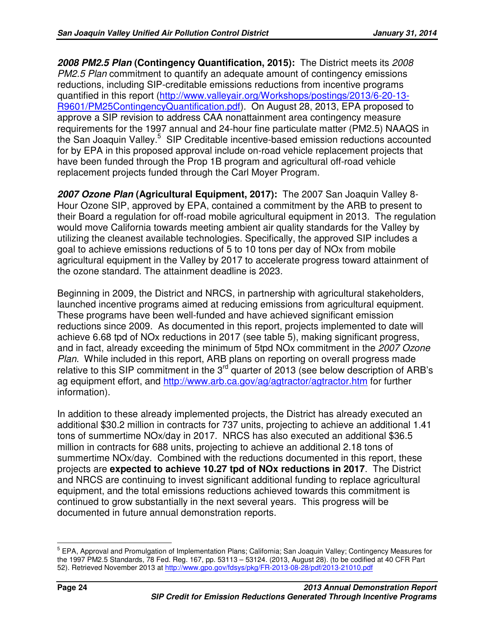**2008 PM2.5 Plan (Contingency Quantification, 2015):** The District meets its *2008 PM2.5 Plan* commitment to quantify an adequate amount of contingency emissions reductions, including SIP-creditable emissions reductions from incentive programs quantified in this report (http://www.valleyair.org/Workshops/postings/2013/6-20-13- R9601/PM25ContingencyQuantification.pdf). On August 28, 2013, EPA proposed to approve a SIP revision to address CAA nonattainment area contingency measure requirements for the 1997 annual and 24-hour fine particulate matter (PM2.5) NAAQS in the San Joaquin Valley.<sup>5</sup> SIP Creditable incentive-based emission reductions accounted for by EPA in this proposed approval include on-road vehicle replacement projects that have been funded through the Prop 1B program and agricultural off-road vehicle replacement projects funded through the Carl Moyer Program.

**2007 Ozone Plan (Agricultural Equipment, 2017):** The 2007 San Joaquin Valley 8- Hour Ozone SIP, approved by EPA, contained a commitment by the ARB to present to their Board a regulation for off-road mobile agricultural equipment in 2013. The regulation would move California towards meeting ambient air quality standards for the Valley by utilizing the cleanest available technologies. Specifically, the approved SIP includes a goal to achieve emissions reductions of 5 to 10 tons per day of NOx from mobile agricultural equipment in the Valley by 2017 to accelerate progress toward attainment of the ozone standard. The attainment deadline is 2023.

Beginning in 2009, the District and NRCS, in partnership with agricultural stakeholders, launched incentive programs aimed at reducing emissions from agricultural equipment. These programs have been well-funded and have achieved significant emission reductions since 2009. As documented in this report, projects implemented to date will achieve 6.68 tpd of NOx reductions in 2017 (see table 5), making significant progress, and in fact, already exceeding the minimum of 5tpd NOx commitment in the *2007 Ozone Plan*. While included in this report, ARB plans on reporting on overall progress made relative to this SIP commitment in the 3<sup>rd</sup> quarter of 2013 (see below description of ARB's ag equipment effort, and http://www.arb.ca.gov/ag/agtractor/agtractor.htm for further information).

In addition to these already implemented projects, the District has already executed an additional \$30.2 million in contracts for 737 units, projecting to achieve an additional 1.41 tons of summertime NOx/day in 2017. NRCS has also executed an additional \$36.5 million in contracts for 688 units, projecting to achieve an additional 2.18 tons of summertime NOx/day. Combined with the reductions documented in this report, these projects are **expected to achieve 10.27 tpd of NOx reductions in 2017**. The District and NRCS are continuing to invest significant additional funding to replace agricultural equipment, and the total emissions reductions achieved towards this commitment is continued to grow substantially in the next several years. This progress will be documented in future annual demonstration reports.

 5 EPA, Approval and Promulgation of Implementation Plans; California; San Joaquin Valley; Contingency Measures for the 1997 PM2.5 Standards, 78 Fed. Reg. 167, pp. 53113 – 53124. (2013, August 28). (to be codified at 40 CFR Part 52). Retrieved November 2013 at http://www.gpo.gov/fdsys/pkg/FR-2013-08-28/pdf/2013-21010.pdf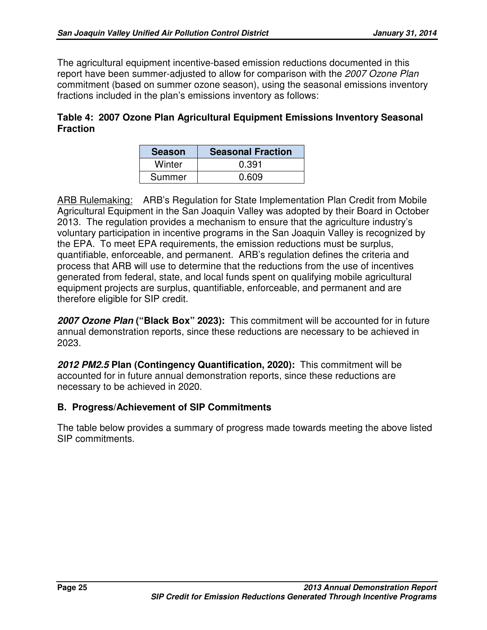The agricultural equipment incentive-based emission reductions documented in this report have been summer-adjusted to allow for comparison with the *2007 Ozone Plan* commitment (based on summer ozone season), using the seasonal emissions inventory fractions included in the plan's emissions inventory as follows:

# **Table 4: 2007 Ozone Plan Agricultural Equipment Emissions Inventory Seasonal Fraction**

| <b>Season</b> | <b>Seasonal Fraction</b> |
|---------------|--------------------------|
| Winter        | 0.391                    |
| Summer        | 0.609                    |

ARB Rulemaking: ARB's Regulation for State Implementation Plan Credit from Mobile Agricultural Equipment in the San Joaquin Valley was adopted by their Board in October 2013. The regulation provides a mechanism to ensure that the agriculture industry's voluntary participation in incentive programs in the San Joaquin Valley is recognized by the EPA. To meet EPA requirements, the emission reductions must be surplus, quantifiable, enforceable, and permanent. ARB's regulation defines the criteria and process that ARB will use to determine that the reductions from the use of incentives generated from federal, state, and local funds spent on qualifying mobile agricultural equipment projects are surplus, quantifiable, enforceable, and permanent and are therefore eligible for SIP credit.

**2007 Ozone Plan ("Black Box" 2023):** This commitment will be accounted for in future annual demonstration reports, since these reductions are necessary to be achieved in 2023.

**2012 PM2.5 Plan (Contingency Quantification, 2020):** This commitment will be accounted for in future annual demonstration reports, since these reductions are necessary to be achieved in 2020.

#### **B. Progress/Achievement of SIP Commitments**

The table below provides a summary of progress made towards meeting the above listed SIP commitments.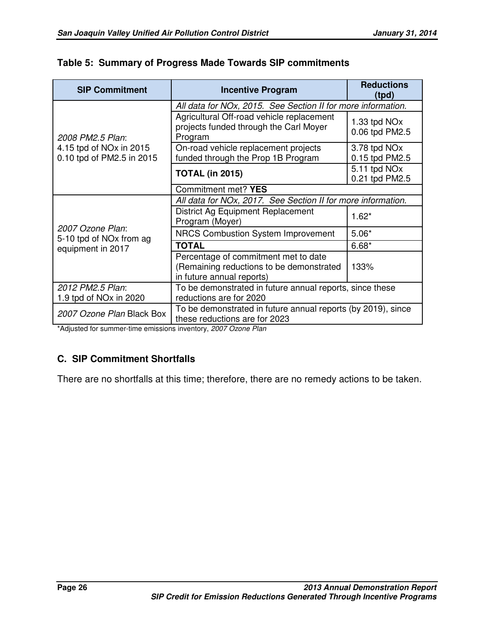| <b>SIP Commitment</b>                                                                                                                         | <b>Reductions</b><br>(tpd)                                                                                            |                                            |  |  |
|-----------------------------------------------------------------------------------------------------------------------------------------------|-----------------------------------------------------------------------------------------------------------------------|--------------------------------------------|--|--|
|                                                                                                                                               | All data for NOx, 2015. See Section II for more information.                                                          |                                            |  |  |
| 2008 PM2.5 Plan:                                                                                                                              | Agricultural Off-road vehicle replacement<br>projects funded through the Carl Moyer<br>Program                        | 1.33 tpd NO <sub>x</sub><br>0.06 tpd PM2.5 |  |  |
| 4.15 tpd of NO <sub>x</sub> in 2015<br>0.10 tpd of PM2.5 in 2015                                                                              | On-road vehicle replacement projects<br>funded through the Prop 1B Program                                            | 3.78 tpd NO <sub>x</sub><br>0.15 tpd PM2.5 |  |  |
|                                                                                                                                               | <b>TOTAL (in 2015)</b>                                                                                                | 5.11 tpd NO <sub>x</sub><br>0.21 tpd PM2.5 |  |  |
|                                                                                                                                               | Commitment met? YES                                                                                                   |                                            |  |  |
|                                                                                                                                               | All data for NOx, 2017. See Section II for more information.                                                          |                                            |  |  |
|                                                                                                                                               | District Ag Equipment Replacement<br>Program (Moyer)                                                                  | $1.62*$                                    |  |  |
| 2007 Ozone Plan:<br>5-10 tpd of NO <sub>x</sub> from ag                                                                                       | <b>NRCS Combustion System Improvement</b>                                                                             | $5.06*$                                    |  |  |
| equipment in 2017                                                                                                                             | <b>TOTAL</b>                                                                                                          | $6.68*$                                    |  |  |
|                                                                                                                                               | Percentage of commitment met to date<br>(Remaining reductions to be demonstrated<br>133%<br>in future annual reports) |                                            |  |  |
| 2012 PM2.5 Plan:<br>To be demonstrated in future annual reports, since these<br>reductions are for 2020<br>1.9 tpd of NO <sub>x</sub> in 2020 |                                                                                                                       |                                            |  |  |
| 2007 Ozone Plan Black Box                                                                                                                     | To be demonstrated in future annual reports (by 2019), since<br>these reductions are for 2023                         |                                            |  |  |

# **Table 5: Summary of Progress Made Towards SIP commitments**

\*Adjusted for summer-time emissions inventory, *2007 Ozone Plan*

# **C. SIP Commitment Shortfalls**

There are no shortfalls at this time; therefore, there are no remedy actions to be taken.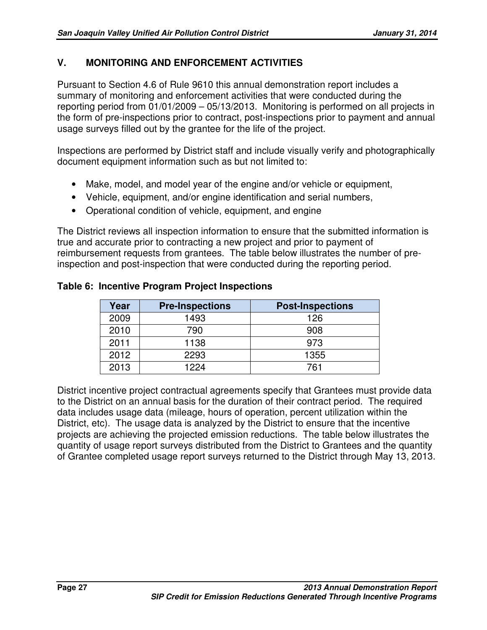# **V. MONITORING AND ENFORCEMENT ACTIVITIES**

Pursuant to Section 4.6 of Rule 9610 this annual demonstration report includes a summary of monitoring and enforcement activities that were conducted during the reporting period from 01/01/2009 – 05/13/2013. Monitoring is performed on all projects in the form of pre-inspections prior to contract, post-inspections prior to payment and annual usage surveys filled out by the grantee for the life of the project.

Inspections are performed by District staff and include visually verify and photographically document equipment information such as but not limited to:

- Make, model, and model year of the engine and/or vehicle or equipment,
- Vehicle, equipment, and/or engine identification and serial numbers,
- Operational condition of vehicle, equipment, and engine

The District reviews all inspection information to ensure that the submitted information is true and accurate prior to contracting a new project and prior to payment of reimbursement requests from grantees. The table below illustrates the number of preinspection and post-inspection that were conducted during the reporting period.

| Year | <b>Pre-Inspections</b> | <b>Post-Inspections</b> |
|------|------------------------|-------------------------|
| 2009 | 1493                   | 126                     |
| 2010 | 790                    | 908                     |
| 2011 | 1138                   | 973                     |
| 2012 | 2293                   | 1355                    |
| 2013 | 1224                   | 761                     |

#### **Table 6: Incentive Program Project Inspections**

District incentive project contractual agreements specify that Grantees must provide data to the District on an annual basis for the duration of their contract period. The required data includes usage data (mileage, hours of operation, percent utilization within the District, etc). The usage data is analyzed by the District to ensure that the incentive projects are achieving the projected emission reductions. The table below illustrates the quantity of usage report surveys distributed from the District to Grantees and the quantity of Grantee completed usage report surveys returned to the District through May 13, 2013.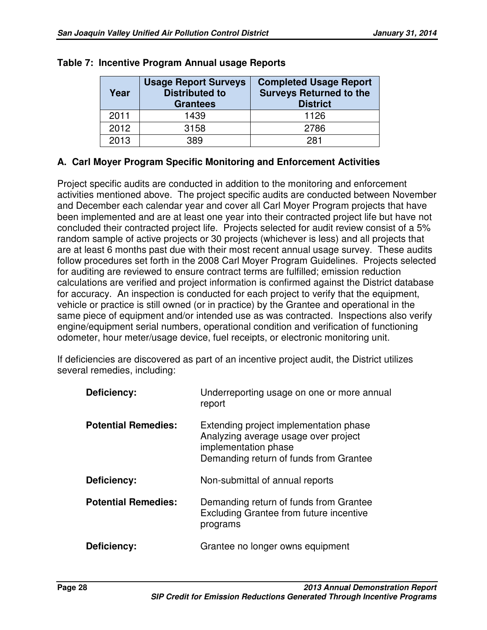| Year | <b>Usage Report Surveys</b><br><b>Distributed to</b><br><b>Grantees</b> | <b>Completed Usage Report</b><br><b>Surveys Returned to the</b><br><b>District</b> |
|------|-------------------------------------------------------------------------|------------------------------------------------------------------------------------|
| 2011 | 1439                                                                    | 1126                                                                               |
| 2012 | 3158                                                                    | 2786                                                                               |
| 2013 | 389                                                                     | 281                                                                                |

#### **Table 7: Incentive Program Annual usage Reports**

# **A. Carl Moyer Program Specific Monitoring and Enforcement Activities**

Project specific audits are conducted in addition to the monitoring and enforcement activities mentioned above. The project specific audits are conducted between November and December each calendar year and cover all Carl Moyer Program projects that have been implemented and are at least one year into their contracted project life but have not concluded their contracted project life. Projects selected for audit review consist of a 5% random sample of active projects or 30 projects (whichever is less) and all projects that are at least 6 months past due with their most recent annual usage survey. These audits follow procedures set forth in the 2008 Carl Moyer Program Guidelines. Projects selected for auditing are reviewed to ensure contract terms are fulfilled; emission reduction calculations are verified and project information is confirmed against the District database for accuracy. An inspection is conducted for each project to verify that the equipment, vehicle or practice is still owned (or in practice) by the Grantee and operational in the same piece of equipment and/or intended use as was contracted. Inspections also verify engine/equipment serial numbers, operational condition and verification of functioning odometer, hour meter/usage device, fuel receipts, or electronic monitoring unit.

If deficiencies are discovered as part of an incentive project audit, the District utilizes several remedies, including:

| Deficiency:                | Underreporting usage on one or more annual<br>report                                                                                             |
|----------------------------|--------------------------------------------------------------------------------------------------------------------------------------------------|
| <b>Potential Remedies:</b> | Extending project implementation phase<br>Analyzing average usage over project<br>implementation phase<br>Demanding return of funds from Grantee |
| Deficiency:                | Non-submittal of annual reports                                                                                                                  |
| <b>Potential Remedies:</b> | Demanding return of funds from Grantee<br><b>Excluding Grantee from future incentive</b><br>programs                                             |
| <b>Deficiency:</b>         | Grantee no longer owns equipment                                                                                                                 |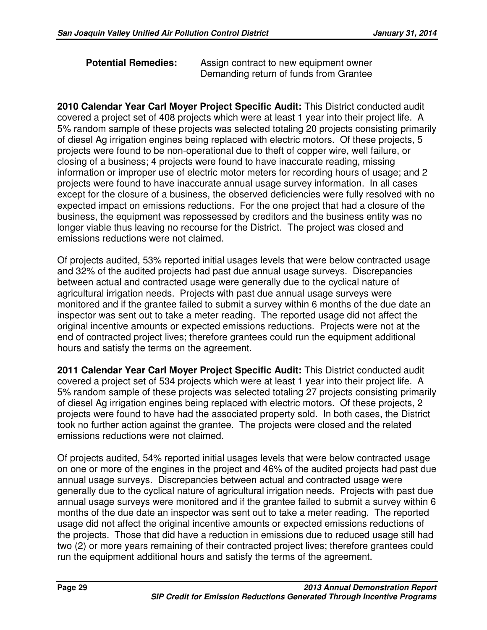**Potential Remedies:** Assign contract to new equipment owner Demanding return of funds from Grantee

**2010 Calendar Year Carl Moyer Project Specific Audit:** This District conducted audit covered a project set of 408 projects which were at least 1 year into their project life. A 5% random sample of these projects was selected totaling 20 projects consisting primarily of diesel Ag irrigation engines being replaced with electric motors. Of these projects, 5 projects were found to be non-operational due to theft of copper wire, well failure, or closing of a business; 4 projects were found to have inaccurate reading, missing information or improper use of electric motor meters for recording hours of usage; and 2 projects were found to have inaccurate annual usage survey information. In all cases except for the closure of a business, the observed deficiencies were fully resolved with no expected impact on emissions reductions. For the one project that had a closure of the business, the equipment was repossessed by creditors and the business entity was no longer viable thus leaving no recourse for the District. The project was closed and emissions reductions were not claimed.

Of projects audited, 53% reported initial usages levels that were below contracted usage and 32% of the audited projects had past due annual usage surveys. Discrepancies between actual and contracted usage were generally due to the cyclical nature of agricultural irrigation needs. Projects with past due annual usage surveys were monitored and if the grantee failed to submit a survey within 6 months of the due date an inspector was sent out to take a meter reading. The reported usage did not affect the original incentive amounts or expected emissions reductions. Projects were not at the end of contracted project lives; therefore grantees could run the equipment additional hours and satisfy the terms on the agreement.

**2011 Calendar Year Carl Moyer Project Specific Audit:** This District conducted audit covered a project set of 534 projects which were at least 1 year into their project life. A 5% random sample of these projects was selected totaling 27 projects consisting primarily of diesel Ag irrigation engines being replaced with electric motors. Of these projects, 2 projects were found to have had the associated property sold. In both cases, the District took no further action against the grantee. The projects were closed and the related emissions reductions were not claimed.

Of projects audited, 54% reported initial usages levels that were below contracted usage on one or more of the engines in the project and 46% of the audited projects had past due annual usage surveys. Discrepancies between actual and contracted usage were generally due to the cyclical nature of agricultural irrigation needs. Projects with past due annual usage surveys were monitored and if the grantee failed to submit a survey within 6 months of the due date an inspector was sent out to take a meter reading. The reported usage did not affect the original incentive amounts or expected emissions reductions of the projects. Those that did have a reduction in emissions due to reduced usage still had two (2) or more years remaining of their contracted project lives; therefore grantees could run the equipment additional hours and satisfy the terms of the agreement.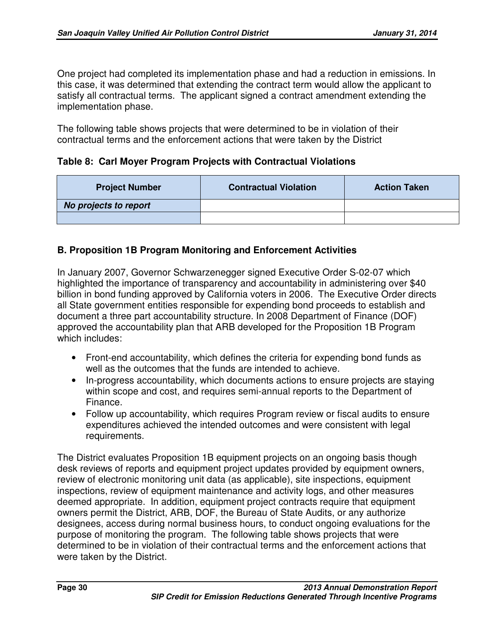One project had completed its implementation phase and had a reduction in emissions. In this case, it was determined that extending the contract term would allow the applicant to satisfy all contractual terms. The applicant signed a contract amendment extending the implementation phase.

The following table shows projects that were determined to be in violation of their contractual terms and the enforcement actions that were taken by the District

| Table 8: Carl Moyer Program Projects with Contractual Violations |  |
|------------------------------------------------------------------|--|
|------------------------------------------------------------------|--|

| <b>Project Number</b> | <b>Contractual Violation</b> | <b>Action Taken</b> |
|-----------------------|------------------------------|---------------------|
| No projects to report |                              |                     |
|                       |                              |                     |

#### **B. Proposition 1B Program Monitoring and Enforcement Activities**

In January 2007, Governor Schwarzenegger signed Executive Order S-02-07 which highlighted the importance of transparency and accountability in administering over \$40 billion in bond funding approved by California voters in 2006. The Executive Order directs all State government entities responsible for expending bond proceeds to establish and document a three part accountability structure. In 2008 Department of Finance (DOF) approved the accountability plan that ARB developed for the Proposition 1B Program which includes:

- Front-end accountability, which defines the criteria for expending bond funds as well as the outcomes that the funds are intended to achieve.
- In-progress accountability, which documents actions to ensure projects are staying within scope and cost, and requires semi-annual reports to the Department of Finance.
- Follow up accountability, which requires Program review or fiscal audits to ensure expenditures achieved the intended outcomes and were consistent with legal requirements.

The District evaluates Proposition 1B equipment projects on an ongoing basis though desk reviews of reports and equipment project updates provided by equipment owners, review of electronic monitoring unit data (as applicable), site inspections, equipment inspections, review of equipment maintenance and activity logs, and other measures deemed appropriate. In addition, equipment project contracts require that equipment owners permit the District, ARB, DOF, the Bureau of State Audits, or any authorize designees, access during normal business hours, to conduct ongoing evaluations for the purpose of monitoring the program. The following table shows projects that were determined to be in violation of their contractual terms and the enforcement actions that were taken by the District.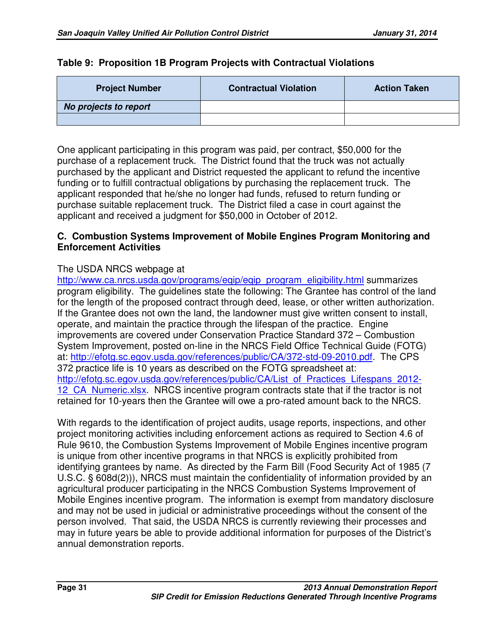|  |  |  |  |  | Table 9: Proposition 1B Program Projects with Contractual Violations |
|--|--|--|--|--|----------------------------------------------------------------------|
|--|--|--|--|--|----------------------------------------------------------------------|

| <b>Project Number</b> | <b>Contractual Violation</b> | <b>Action Taken</b> |
|-----------------------|------------------------------|---------------------|
| No projects to report |                              |                     |
|                       |                              |                     |

One applicant participating in this program was paid, per contract, \$50,000 for the purchase of a replacement truck. The District found that the truck was not actually purchased by the applicant and District requested the applicant to refund the incentive funding or to fulfill contractual obligations by purchasing the replacement truck. The applicant responded that he/she no longer had funds, refused to return funding or purchase suitable replacement truck. The District filed a case in court against the applicant and received a judgment for \$50,000 in October of 2012.

#### **C. Combustion Systems Improvement of Mobile Engines Program Monitoring and Enforcement Activities**

# The USDA NRCS webpage at

http://www.ca.nrcs.usda.gov/programs/eqip/eqip\_program\_eligibility.html summarizes program eligibility. The guidelines state the following: The Grantee has control of the land for the length of the proposed contract through deed, lease, or other written authorization. If the Grantee does not own the land, the landowner must give written consent to install, operate, and maintain the practice through the lifespan of the practice. Engine improvements are covered under Conservation Practice Standard 372 – Combustion System Improvement, posted on-line in the NRCS Field Office Technical Guide (FOTG) at: http://efotg.sc.egov.usda.gov/references/public/CA/372-std-09-2010.pdf. The CPS 372 practice life is 10 years as described on the FOTG spreadsheet at: http://efotg.sc.egov.usda.gov/references/public/CA/List\_of\_Practices\_Lifespans\_2012-12 CA Numeric.xlsx. NRCS incentive program contracts state that if the tractor is not retained for 10-years then the Grantee will owe a pro-rated amount back to the NRCS.

With regards to the identification of project audits, usage reports, inspections, and other project monitoring activities including enforcement actions as required to Section 4.6 of Rule 9610, the Combustion Systems Improvement of Mobile Engines incentive program is unique from other incentive programs in that NRCS is explicitly prohibited from identifying grantees by name. As directed by the Farm Bill (Food Security Act of 1985 (7 U.S.C. § 608d(2))), NRCS must maintain the confidentiality of information provided by an agricultural producer participating in the NRCS Combustion Systems Improvement of Mobile Engines incentive program. The information is exempt from mandatory disclosure and may not be used in judicial or administrative proceedings without the consent of the person involved. That said, the USDA NRCS is currently reviewing their processes and may in future years be able to provide additional information for purposes of the District's annual demonstration reports.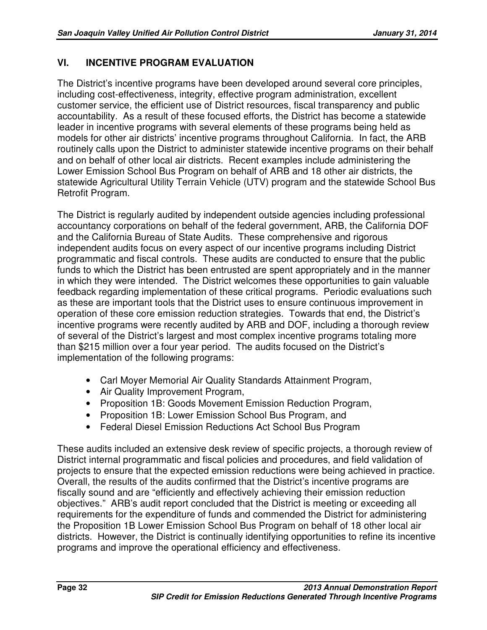# **VI. INCENTIVE PROGRAM EVALUATION**

The District's incentive programs have been developed around several core principles, including cost-effectiveness, integrity, effective program administration, excellent customer service, the efficient use of District resources, fiscal transparency and public accountability. As a result of these focused efforts, the District has become a statewide leader in incentive programs with several elements of these programs being held as models for other air districts' incentive programs throughout California. In fact, the ARB routinely calls upon the District to administer statewide incentive programs on their behalf and on behalf of other local air districts. Recent examples include administering the Lower Emission School Bus Program on behalf of ARB and 18 other air districts, the statewide Agricultural Utility Terrain Vehicle (UTV) program and the statewide School Bus Retrofit Program.

The District is regularly audited by independent outside agencies including professional accountancy corporations on behalf of the federal government, ARB, the California DOF and the California Bureau of State Audits. These comprehensive and rigorous independent audits focus on every aspect of our incentive programs including District programmatic and fiscal controls. These audits are conducted to ensure that the public funds to which the District has been entrusted are spent appropriately and in the manner in which they were intended. The District welcomes these opportunities to gain valuable feedback regarding implementation of these critical programs. Periodic evaluations such as these are important tools that the District uses to ensure continuous improvement in operation of these core emission reduction strategies. Towards that end, the District's incentive programs were recently audited by ARB and DOF, including a thorough review of several of the District's largest and most complex incentive programs totaling more than \$215 million over a four year period. The audits focused on the District's implementation of the following programs:

- Carl Moyer Memorial Air Quality Standards Attainment Program,
- Air Quality Improvement Program,
- Proposition 1B: Goods Movement Emission Reduction Program,
- Proposition 1B: Lower Emission School Bus Program, and
- Federal Diesel Emission Reductions Act School Bus Program

These audits included an extensive desk review of specific projects, a thorough review of District internal programmatic and fiscal policies and procedures, and field validation of projects to ensure that the expected emission reductions were being achieved in practice. Overall, the results of the audits confirmed that the District's incentive programs are fiscally sound and are "efficiently and effectively achieving their emission reduction objectives." ARB's audit report concluded that the District is meeting or exceeding all requirements for the expenditure of funds and commended the District for administering the Proposition 1B Lower Emission School Bus Program on behalf of 18 other local air districts. However, the District is continually identifying opportunities to refine its incentive programs and improve the operational efficiency and effectiveness.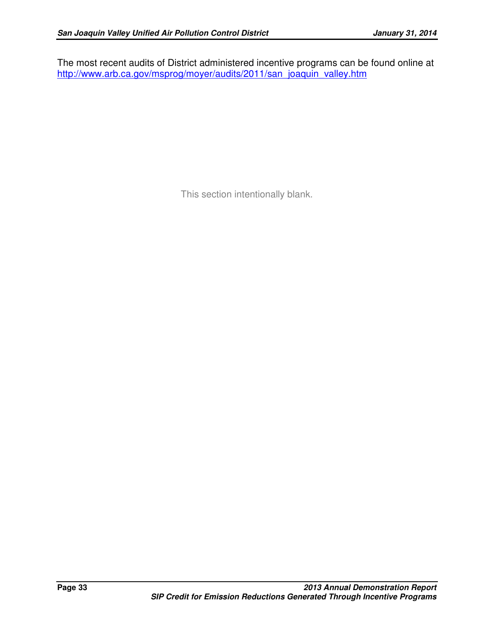The most recent audits of District administered incentive programs can be found online at http://www.arb.ca.gov/msprog/moyer/audits/2011/san\_joaquin\_valley.htm

This section intentionally blank.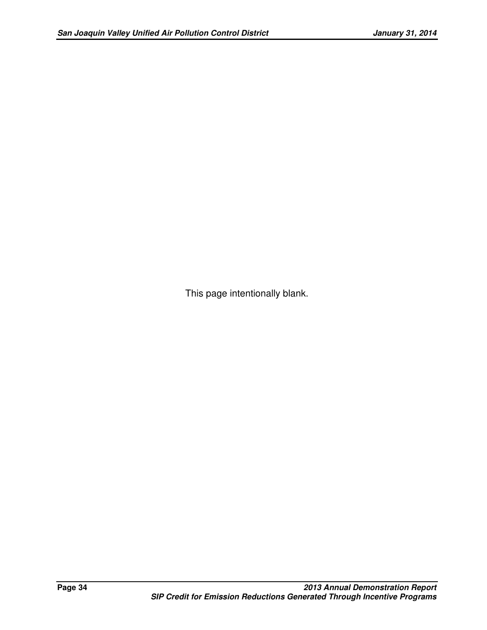This page intentionally blank.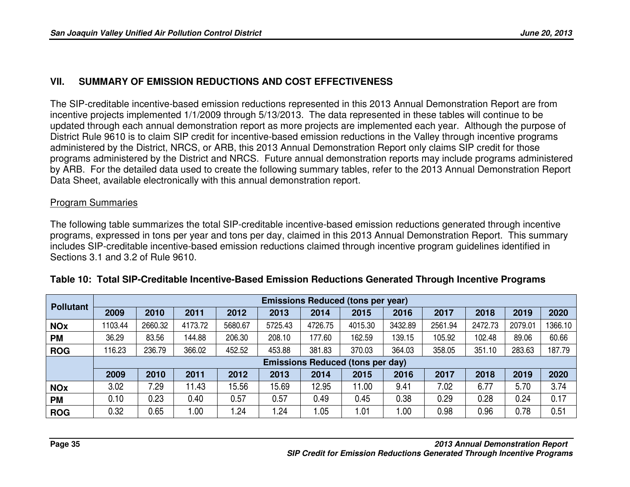# **VII. SUMMARY OF EMISSION REDUCTIONS AND COST EFFECTIVENESS**

The SIP-creditable incentive-based emission reductions represented in this 2013 Annual Demonstration Report are from incentive projects implemented 1/1/2009 through 5/13/2013. The data represented in these tables will continue to be updated through each annual demonstration report as more projects are implemented each year. Although the purpose of District Rule 9610 is to claim SIP credit for incentive-based emission reductions in the Valley through incentive programs administered by the District, NRCS, or ARB, this 2013 Annual Demonstration Report only claims SIP credit for those programs administered by the District and NRCS. Future annual demonstration reports may include programs administered by ARB. For the detailed data used to create the following summary tables, refer to the 2013 Annual Demonstration Report Data Sheet, available electronically with this annual demonstration report.

#### Program Summaries

The following table summarizes the total SIP-creditable incentive-based emission reductions generated through incentive programs, expressed in tons per year and tons per day, claimed in this 2013 Annual Demonstration Report. This summary includes SIP-creditable incentive-based emission reductions claimed through incentive program guidelines identified in Sections 3.1 and 3.2 of Rule 9610.

| <b>Pollutant</b> | <b>Emissions Reduced (tons per year)</b> |         |         |         |         |         |                                         |         |         |         |         |         |
|------------------|------------------------------------------|---------|---------|---------|---------|---------|-----------------------------------------|---------|---------|---------|---------|---------|
|                  | 2009                                     | 2010    | 2011    | 2012    | 2013    | 2014    | 2015                                    | 2016    | 2017    | 2018    | 2019    | 2020    |
| <b>NOx</b>       | 1103.44                                  | 2660.32 | 4173.72 | 5680.67 | 5725.43 | 4726.75 | 4015.30                                 | 3432.89 | 2561.94 | 2472.73 | 2079.01 | 1366.10 |
| <b>PM</b>        | 36.29                                    | 83.56   | 144.88  | 206.30  | 208.10  | 177.60  | 162.59                                  | 139.15  | 105.92  | 102.48  | 89.06   | 60.66   |
| <b>ROG</b>       | 16.23                                    | 236.79  | 366.02  | 452.52  | 453.88  | 381.83  | 370.03                                  | 364.03  | 358.05  | 351.10  | 283.63  | 187.79  |
|                  |                                          |         |         |         |         |         | <b>Emissions Reduced (tons per day)</b> |         |         |         |         |         |
|                  | 2009                                     | 2010    | 2011    | 2012    | 2013    | 2014    | 2015                                    | 2016    | 2017    | 2018    | 2019    | 2020    |
| <b>NOx</b>       | 3.02                                     | 7.29    | 11.43   | 15.56   | 15.69   | 12.95   | 11.00                                   | 9.41    | 7.02    | 6.77    | 5.70    | 3.74    |
| <b>PM</b>        | 0.10                                     | 0.23    | 0.40    | 0.57    | 0.57    | 0.49    | 0.45                                    | 0.38    | 0.29    | 0.28    | 0.24    | 0.17    |
| <b>ROG</b>       | 0.32                                     | 0.65    | .00     | .24     | .24     | 1.05    | 1.01                                    | 1.00    | 0.98    | 0.96    | 0.78    | 0.51    |

#### **Table 10: Total SIP-Creditable Incentive-Based Emission Reductions Generated Through Incentive Programs**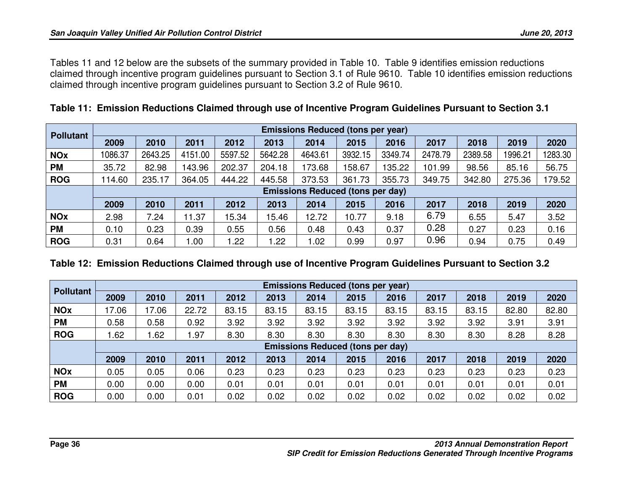Tables 11 and 12 below are the subsets of the summary provided in Table 10. Table 9 identifies emission reductions claimed through incentive program guidelines pursuant to Section 3.1 of Rule 9610. Table 10 identifies emission reductions claimed through incentive program guidelines pursuant to Section 3.2 of Rule 9610.

| <b>Pollutant</b> |         | <b>Emissions Reduced (tons per year)</b> |         |         |         |                                         |         |         |         |         |         |         |  |  |  |
|------------------|---------|------------------------------------------|---------|---------|---------|-----------------------------------------|---------|---------|---------|---------|---------|---------|--|--|--|
|                  | 2009    | 2010                                     | 2011    | 2012    | 2013    | 2014                                    | 2015    | 2016    | 2017    | 2018    | 2019    | 2020    |  |  |  |
| <b>NOx</b>       | 1086.37 | 2643.25                                  | 4151.00 | 5597.52 | 5642.28 | 4643.61                                 | 3932.15 | 3349.74 | 2478.79 | 2389.58 | 1996.21 | 1283.30 |  |  |  |
| <b>PM</b>        | 35.72   | 82.98                                    | 143.96  | 202.37  | 204.18  | 173.68                                  | 158.67  | 135.22  | 101.99  | 98.56   | 85.16   | 56.75   |  |  |  |
| <b>ROG</b>       | 114.60  | 235.17                                   | 364.05  | 444.22  | 445.58  | 373.53                                  | 361.73  | 355.73  | 349.75  | 342.80  | 275.36  | 179.52  |  |  |  |
|                  |         |                                          |         |         |         | <b>Emissions Reduced (tons per day)</b> |         |         |         |         |         |         |  |  |  |
|                  | 2009    | 2010                                     | 2011    | 2012    | 2013    | 2014                                    | 2015    | 2016    | 2017    | 2018    | 2019    | 2020    |  |  |  |
| <b>NOx</b>       | 2.98    | 7.24                                     | 11.37   | 15.34   | 15.46   | 12.72                                   | 10.77   | 9.18    | 6.79    | 6.55    | 5.47    | 3.52    |  |  |  |
| <b>PM</b>        | 0.10    | 0.23                                     | 0.39    | 0.55    | 0.56    | 0.48                                    | 0.43    | 0.37    | 0.28    | 0.27    | 0.23    | 0.16    |  |  |  |
| <b>ROG</b>       | 0.31    | 0.64                                     | 1.00    | 1.22    | 1.22    | 1.02                                    | 0.99    | 0.97    | 0.96    | 0.94    | 0.75    | 0.49    |  |  |  |

|  |  | Table 11: Emission Reductions Claimed through use of Incentive Program Guidelines Pursuant to Section 3.1 |  |
|--|--|-----------------------------------------------------------------------------------------------------------|--|
|  |  |                                                                                                           |  |

# **Table 12: Emission Reductions Claimed through use of Incentive Program Guidelines Pursuant to Section 3.2**

|                  |       |       |       |       |       |       | <b>Emissions Reduced (tons per year)</b> |       |       |       |       |       |
|------------------|-------|-------|-------|-------|-------|-------|------------------------------------------|-------|-------|-------|-------|-------|
| <b>Pollutant</b> | 2009  | 2010  | 2011  | 2012  | 2013  | 2014  | 2015                                     | 2016  | 2017  | 2018  | 2019  | 2020  |
| <b>NOx</b>       | 17.06 | 17.06 | 22.72 | 83.15 | 83.15 | 83.15 | 83.15                                    | 83.15 | 83.15 | 83.15 | 82.80 | 82.80 |
| <b>PM</b>        | 0.58  | 0.58  | 0.92  | 3.92  | 3.92  | 3.92  | 3.92                                     | 3.92  | 3.92  | 3.92  | 3.91  | 3.91  |
| <b>ROG</b>       | .62   | 1.62  | . 97  | 8.30  | 8.30  | 8.30  | 8.30                                     | 8.30  | 8.30  | 8.30  | 8.28  | 8.28  |
|                  |       |       |       |       |       |       | <b>Emissions Reduced (tons per day)</b>  |       |       |       |       |       |
|                  | 2009  | 2010  | 2011  | 2012  | 2013  | 2014  | 2015                                     | 2016  | 2017  | 2018  | 2019  | 2020  |
| <b>NOx</b>       | 0.05  | 0.05  | 0.06  | 0.23  | 0.23  | 0.23  | 0.23                                     | 0.23  | 0.23  | 0.23  | 0.23  | 0.23  |
| <b>PM</b>        | 0.00  | 0.00  | 0.00  | 0.01  | 0.01  | 0.01  | 0.01                                     | 0.01  | 0.01  | 0.01  | 0.01  | 0.01  |
| <b>ROG</b>       | 0.00  | 0.00  | 0.01  | 0.02  | 0.02  | 0.02  | 0.02                                     | 0.02  | 0.02  | 0.02  | 0.02  | 0.02  |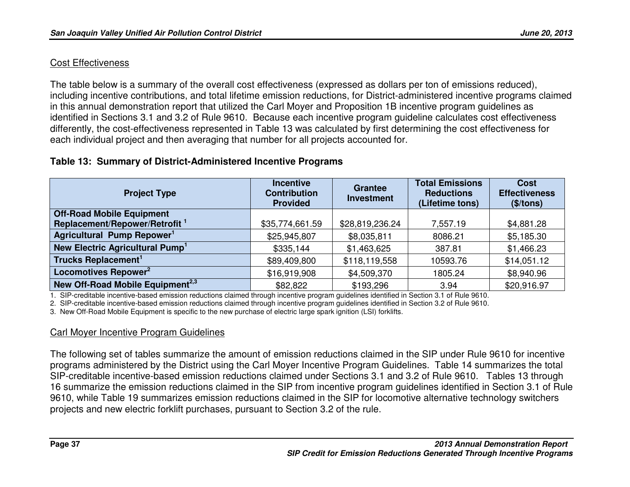# Cost Effectiveness

The table below is a summary of the overall cost effectiveness (expressed as dollars per ton of emissions reduced), including incentive contributions, and total lifetime emission reductions, for District-administered incentive programs claimed in this annual demonstration report that utilized the Carl Moyer and Proposition 1B incentive program guidelines as identified in Sections 3.1 and 3.2 of Rule 9610. Because each incentive program guideline calculates cost effectiveness differently, the cost-effectiveness represented in Table 13 was calculated by first determining the cost effectiveness for each individual project and then averaging that number for all projects accounted for.

# **Table 13: Summary of District-Administered Incentive Programs**

| <b>Project Type</b>                          | <b>Incentive</b><br><b>Contribution</b><br><b>Provided</b> | <b>Grantee</b><br><b>Investment</b> | <b>Total Emissions</b><br><b>Reductions</b><br>(Lifetime tons) | <b>Cost</b><br><b>Effectiveness</b><br>(\$/tons) |
|----------------------------------------------|------------------------------------------------------------|-------------------------------------|----------------------------------------------------------------|--------------------------------------------------|
| <b>Off-Road Mobile Equipment</b>             |                                                            |                                     |                                                                |                                                  |
| Replacement/Repower/Retrofit <sup>1</sup>    | \$35,774,661.59                                            | \$28,819,236.24                     | 7,557.19                                                       | \$4,881.28                                       |
| Agricultural Pump Repower <sup>1</sup>       | \$25,945,807                                               | \$8,035,811                         | 8086.21                                                        | \$5,185.30                                       |
| New Electric Agricultural Pump <sup>1</sup>  | \$335,144                                                  | \$1,463,625                         | 387.81                                                         | \$1,466.23                                       |
| Trucks Replacement <sup>1</sup>              | \$89,409,800                                               | \$118,119,558                       | 10593.76                                                       | \$14,051.12                                      |
| Locomotives Repower <sup>2</sup>             | \$16,919,908                                               | \$4,509,370                         | 1805.24                                                        | \$8,940.96                                       |
| New Off-Road Mobile Equipment <sup>2,3</sup> | \$82,822                                                   | \$193,296                           | 3.94                                                           | \$20,916.97                                      |

1. SIP-creditable incentive-based emission reductions claimed through incentive program guidelines identified in Section 3.1 of Rule 9610.

2. SIP-creditable incentive-based emission reductions claimed through incentive program guidelines identified in Section 3.2 of Rule 9610.

3. New Off-Road Mobile Equipment is specific to the new purchase of electric large spark ignition (LSI) forklifts.

# Carl Moyer Incentive Program Guidelines

The following set of tables summarize the amount of emission reductions claimed in the SIP under Rule 9610 for incentive programs administered by the District using the Carl Moyer Incentive Program Guidelines. Table 14 summarizes the total SIP-creditable incentive-based emission reductions claimed under Sections 3.1 and 3.2 of Rule 9610. Tables 13 through 16 summarize the emission reductions claimed in the SIP from incentive program guidelines identified in Section 3.1 of Rule 9610, while Table 19 summarizes emission reductions claimed in the SIP for locomotive alternative technology switchers projects and new electric forklift purchases, pursuant to Section 3.2 of the rule.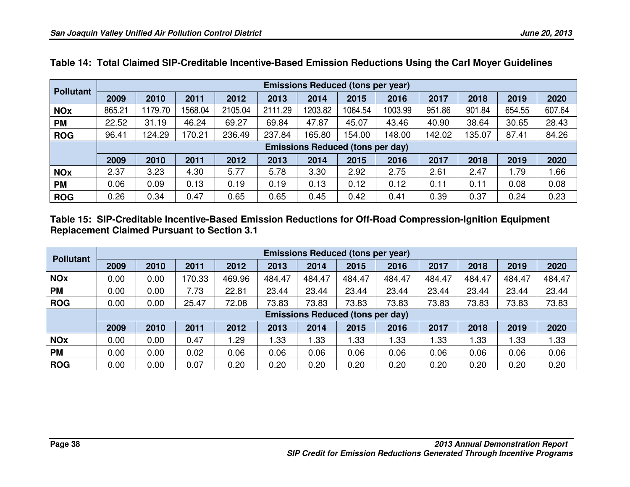| <b>Pollutant</b>      | <b>Emissions Reduced (tons per year)</b> |         |         |         |         |                                  |         |         |        |        |        |        |
|-----------------------|------------------------------------------|---------|---------|---------|---------|----------------------------------|---------|---------|--------|--------|--------|--------|
|                       | 2009                                     | 2010    | 2011    | 2012    | 2013    | 2014                             | 2015    | 2016    | 2017   | 2018   | 2019   | 2020   |
| <b>NO<sub>x</sub></b> | 865.21                                   | 1179.70 | 1568.04 | 2105.04 | 2111.29 | 203.82                           | 1064.54 | 1003.99 | 951.86 | 901.84 | 654.55 | 607.64 |
| <b>PM</b>             | 22.52                                    | 31.19   | 46.24   | 69.27   | 69.84   | 47.87                            | 45.07   | 43.46   | 40.90  | 38.64  | 30.65  | 28.43  |
| <b>ROG</b>            | 96.41                                    | 124.29  | 170.21  | 236.49  | 237.84  | 165.80                           | 154.00  | 148.00  | 142.02 | 135.07 | 87.41  | 84.26  |
|                       |                                          |         |         |         |         | Emissions Reduced (tons per day) |         |         |        |        |        |        |
|                       | 2009                                     | 2010    | 2011    | 2012    | 2013    | 2014                             | 2015    | 2016    | 2017   | 2018   | 2019   | 2020   |
| <b>NOx</b>            | 2.37                                     | 3.23    | 4.30    | 5.77    | 5.78    | 3.30                             | 2.92    | 2.75    | 2.61   | 2.47   | 1.79   | 1.66   |
| <b>PM</b>             | 0.06                                     | 0.09    | 0.13    | 0.19    | 0.19    | 0.13                             | 0.12    | 0.12    | 0.11   | 0.11   | 0.08   | 0.08   |
| <b>ROG</b>            | 0.26                                     | 0.34    | 0.47    | 0.65    | 0.65    | 0.45                             | 0.42    | 0.41    | 0.39   | 0.37   | 0.24   | 0.23   |

# **Table 14: Total Claimed SIP-Creditable Incentive-Based Emission Reductions Using the Carl Moyer Guidelines**

**Table 15: SIP-Creditable Incentive-Based Emission Reductions for Off-Road Compression-Ignition Equipment Replacement Claimed Pursuant to Section 3.1** 

| <b>Pollutant</b> |          |      |        |        |        |        | <b>Emissions Reduced (tons per year)</b> |        |        |        |        |        |
|------------------|----------|------|--------|--------|--------|--------|------------------------------------------|--------|--------|--------|--------|--------|
|                  | 2009     | 2010 | 2011   | 2012   | 2013   | 2014   | 2015                                     | 2016   | 2017   | 2018   | 2019   | 2020   |
| <b>NOx</b>       | $0.00\,$ | 0.00 | 170.33 | 469.96 | 484.47 | 484.47 | 484.47                                   | 484.47 | 484.47 | 484.47 | 484.47 | 484.47 |
| <b>PM</b>        | $0.00\,$ | 0.00 | 7.73   | 22.81  | 23.44  | 23.44  | 23.44                                    | 23.44  | 23.44  | 23.44  | 23.44  | 23.44  |
| <b>ROG</b>       | 0.00     | 0.00 | 25.47  | 72.08  | 73.83  | 73.83  | 73.83                                    | 73.83  | 73.83  | 73.83  | 73.83  | 73.83  |
|                  |          |      |        |        |        |        | <b>Emissions Reduced (tons per day)</b>  |        |        |        |        |        |
|                  | 2009     | 2010 | 2011   | 2012   | 2013   | 2014   | 2015                                     | 2016   | 2017   | 2018   | 2019   | 2020   |
| <b>NOx</b>       | $0.00\,$ | 0.00 | 0.47   | 1.29   | l.33   | 1.33   | 1.33                                     | 1.33   | . 33   | 1.33   | 1.33   | 1.33   |
| <b>PM</b>        | $0.00\,$ | 0.00 | 0.02   | 0.06   | 0.06   | 0.06   | 0.06                                     | 0.06   | 0.06   | 0.06   | 0.06   | 0.06   |
| <b>ROG</b>       | $0.00\,$ | 0.00 | 0.07   | 0.20   | 0.20   | 0.20   | 0.20                                     | 0.20   | 0.20   | 0.20   | 0.20   | 0.20   |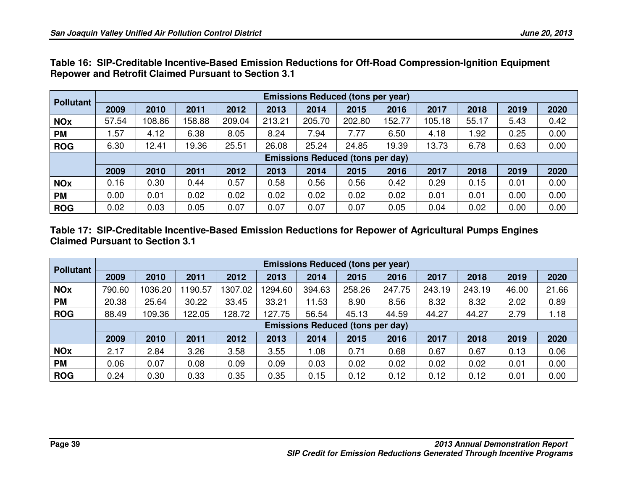| <b>Pollutant</b> |       |        |        |        |        |        | <b>Emissions Reduced (tons per year)</b> |        |        |       |      |      |
|------------------|-------|--------|--------|--------|--------|--------|------------------------------------------|--------|--------|-------|------|------|
|                  | 2009  | 2010   | 2011   | 2012   | 2013   | 2014   | 2015                                     | 2016   | 2017   | 2018  | 2019 | 2020 |
| <b>NOx</b>       | 57.54 | 108.86 | 158.88 | 209.04 | 213.21 | 205.70 | 202.80                                   | 152.77 | 105.18 | 55.17 | 5.43 | 0.42 |
| <b>PM</b>        | .57   | 4.12   | 6.38   | 8.05   | 8.24   | 7.94   | 7.77                                     | 6.50   | 4.18   | 1.92  | 0.25 | 0.00 |
| <b>ROG</b>       | 6.30  | 12.41  | 19.36  | 25.51  | 26.08  | 25.24  | 24.85                                    | 19.39  | 13.73  | 6.78  | 0.63 | 0.00 |
|                  |       |        |        |        |        |        | <b>Emissions Reduced (tons per day)</b>  |        |        |       |      |      |
|                  | 2009  | 2010   | 2011   | 2012   | 2013   | 2014   | 2015                                     | 2016   | 2017   | 2018  | 2019 | 2020 |
| <b>NOx</b>       | 0.16  | 0.30   | 0.44   | 0.57   | 0.58   | 0.56   | 0.56                                     | 0.42   | 0.29   | 0.15  | 0.01 | 0.00 |
| <b>PM</b>        | 0.00  | 0.01   | 0.02   | 0.02   | 0.02   | 0.02   | 0.02                                     | 0.02   | 0.01   | 0.01  | 0.00 | 0.00 |
| <b>ROG</b>       | 0.02  | 0.03   | 0.05   | 0.07   | 0.07   | 0.07   | 0.07                                     | 0.05   | 0.04   | 0.02  | 0.00 | 0.00 |

**Table 16: SIP-Creditable Incentive-Based Emission Reductions for Off-Road Compression-Ignition Equipment Repower and Retrofit Claimed Pursuant to Section 3.1** 

**Table 17: SIP-Creditable Incentive-Based Emission Reductions for Repower of Agricultural Pumps Engines Claimed Pursuant to Section 3.1** 

| <b>Pollutant</b> |        |         |         |         |        |        | <b>Emissions Reduced (tons per year)</b> |        |        |        |       |       |
|------------------|--------|---------|---------|---------|--------|--------|------------------------------------------|--------|--------|--------|-------|-------|
|                  | 2009   | 2010    | 2011    | 2012    | 2013   | 2014   | 2015                                     | 2016   | 2017   | 2018   | 2019  | 2020  |
| <b>NOx</b>       | 790.60 | 1036.20 | 1190.57 | 1307.02 | 294.60 | 394.63 | 258.26                                   | 247.75 | 243.19 | 243.19 | 46.00 | 21.66 |
| <b>PM</b>        | 20.38  | 25.64   | 30.22   | 33.45   | 33.21  | 11.53  | 8.90                                     | 8.56   | 8.32   | 8.32   | 2.02  | 0.89  |
| <b>ROG</b>       | 88.49  | 109.36  | 122.05  | 128.72  | 127.75 | 56.54  | 45.13                                    | 44.59  | 44.27  | 44.27  | 2.79  | 1.18  |
|                  |        |         |         |         |        |        | <b>Emissions Reduced (tons per day)</b>  |        |        |        |       |       |
|                  | 2009   | 2010    | 2011    | 2012    | 2013   | 2014   | 2015                                     | 2016   | 2017   | 2018   | 2019  | 2020  |
| <b>NOx</b>       | 2.17   | 2.84    | 3.26    | 3.58    | 3.55   | 1.08   | 0.71                                     | 0.68   | 0.67   | 0.67   | 0.13  | 0.06  |
| <b>PM</b>        | 0.06   | 0.07    | 0.08    | 0.09    | 0.09   | 0.03   | 0.02                                     | 0.02   | 0.02   | 0.02   | 0.01  | 0.00  |
| <b>ROG</b>       | 0.24   | 0.30    | 0.33    | 0.35    | 0.35   | 0.15   | 0.12                                     | 0.12   | 0.12   | 0.12   | 0.01  | 0.00  |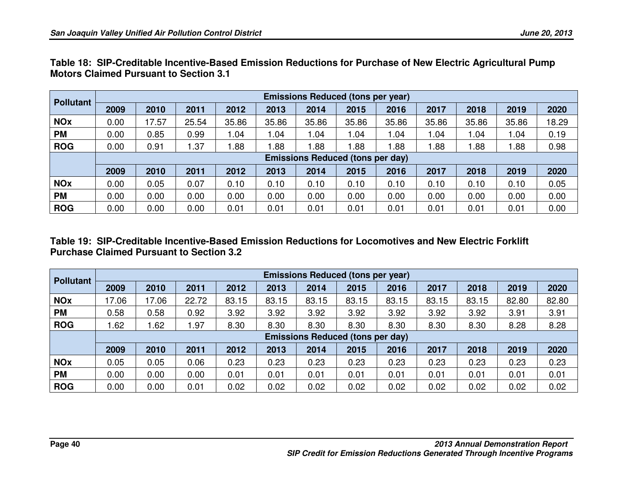| <b>Pollutant</b> | <b>Emissions Reduced (tons per year)</b> |       |       |       |       |                                         |       |       |       |       |       |       |
|------------------|------------------------------------------|-------|-------|-------|-------|-----------------------------------------|-------|-------|-------|-------|-------|-------|
|                  | 2009                                     | 2010  | 2011  | 2012  | 2013  | 2014                                    | 2015  | 2016  | 2017  | 2018  | 2019  | 2020  |
| <b>NOx</b>       | 0.00                                     | 17.57 | 25.54 | 35.86 | 35.86 | 35.86                                   | 35.86 | 35.86 | 35.86 | 35.86 | 35.86 | 18.29 |
| <b>PM</b>        | 0.00                                     | 0.85  | 0.99  | 1.04  | 1.04  | 1.04                                    | 1.04  | 1.04  | 1.04  | 1.04  | 1.04  | 0.19  |
| <b>ROG</b>       | 0.00                                     | 0.91  | 1.37  | .88   | 1.88  | 88.1                                    | .88   | .88   | 1.88  | 1.88  | 88.1  | 0.98  |
|                  |                                          |       |       |       |       | <b>Emissions Reduced (tons per day)</b> |       |       |       |       |       |       |
|                  | 2009                                     | 2010  | 2011  | 2012  | 2013  | 2014                                    | 2015  | 2016  | 2017  | 2018  | 2019  | 2020  |
| <b>NOx</b>       | 0.00                                     | 0.05  | 0.07  | 0.10  | 0.10  | 0.10                                    | 0.10  | 0.10  | 0.10  | 0.10  | 0.10  | 0.05  |
| <b>PM</b>        | 0.00                                     | 0.00  | 0.00  | 0.00  | 0.00  | 0.00                                    | 0.00  | 0.00  | 0.00  | 0.00  | 0.00  | 0.00  |
| <b>ROG</b>       | 0.00                                     | 0.00  | 0.00  | 0.01  | 0.01  | 0.01                                    | 0.01  | 0.01  | 0.01  | 0.01  | 0.01  | 0.00  |

**Table 18: SIP-Creditable Incentive-Based Emission Reductions for Purchase of New Electric Agricultural Pump Motors Claimed Pursuant to Section 3.1**

#### **Table 19: SIP-Creditable Incentive-Based Emission Reductions for Locomotives and New Electric Forklift Purchase Claimed Pursuant to Section 3.2**

| <b>Pollutant</b> |      | <b>Emissions Reduced (tons per year)</b> |       |       |       |       |                                         |       |       |       |       |       |  |  |
|------------------|------|------------------------------------------|-------|-------|-------|-------|-----------------------------------------|-------|-------|-------|-------|-------|--|--|
|                  | 2009 | 2010                                     | 2011  | 2012  | 2013  | 2014  | 2015                                    | 2016  | 2017  | 2018  | 2019  | 2020  |  |  |
| <b>NOx</b>       | 7.06 | 17.06                                    | 22.72 | 83.15 | 83.15 | 83.15 | 83.15                                   | 83.15 | 83.15 | 83.15 | 82.80 | 82.80 |  |  |
| <b>PM</b>        | 0.58 | 0.58                                     | 0.92  | 3.92  | 3.92  | 3.92  | 3.92                                    | 3.92  | 3.92  | 3.92  | 3.91  | 3.91  |  |  |
| <b>ROG</b>       | .62  | . 62                                     | 1.97  | 8.30  | 8.30  | 8.30  | 8.30                                    | 8.30  | 8.30  | 8.30  | 8.28  | 8.28  |  |  |
|                  |      |                                          |       |       |       |       | <b>Emissions Reduced (tons per day)</b> |       |       |       |       |       |  |  |
|                  | 2009 | 2010                                     | 2011  | 2012  | 2013  | 2014  | 2015                                    | 2016  | 2017  | 2018  | 2019  | 2020  |  |  |
| <b>NOx</b>       | 0.05 | 0.05                                     | 0.06  | 0.23  | 0.23  | 0.23  | 0.23                                    | 0.23  | 0.23  | 0.23  | 0.23  | 0.23  |  |  |
| <b>PM</b>        | 0.00 | 0.00                                     | 0.00  | 0.01  | 0.01  | 0.01  | 0.01                                    | 0.01  | 0.01  | 0.01  | 0.01  | 0.01  |  |  |
| <b>ROG</b>       | 0.00 | 0.00                                     | 0.01  | 0.02  | 0.02  | 0.02  | 0.02                                    | 0.02  | 0.02  | 0.02  | 0.02  | 0.02  |  |  |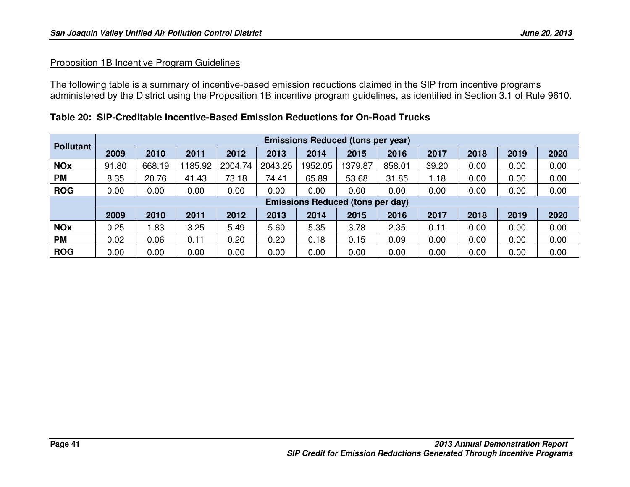#### Proposition 1B Incentive Program Guidelines

The following table is a summary of incentive-based emission reductions claimed in the SIP from incentive programs administered by the District using the Proposition 1B incentive program guidelines, as identified in Section 3.1 of Rule 9610.

| <b>Pollutant</b>      | <b>Emissions Reduced (tons per year)</b> |        |        |         |         |         |         |        |       |      |      |      |
|-----------------------|------------------------------------------|--------|--------|---------|---------|---------|---------|--------|-------|------|------|------|
|                       | 2009                                     | 2010   | 2011   | 2012    | 2013    | 2014    | 2015    | 2016   | 2017  | 2018 | 2019 | 2020 |
| <b>NO<sub>x</sub></b> | 91.80                                    | 668.19 | 185.92 | 2004.74 | 2043.25 | 1952.05 | 1379.87 | 858.01 | 39.20 | 0.00 | 0.00 | 0.00 |
| <b>PM</b>             | 8.35                                     | 20.76  | 41.43  | 73.18   | 74.41   | 65.89   | 53.68   | 31.85  | 1.18  | 0.00 | 0.00 | 0.00 |
| <b>ROG</b>            | 0.00                                     | 0.00   | 0.00   | 0.00    | 0.00    | 0.00    | 0.00    | 0.00   | 0.00  | 0.00 | 0.00 | 0.00 |
|                       | <b>Emissions Reduced (tons per day)</b>  |        |        |         |         |         |         |        |       |      |      |      |
|                       | 2009                                     | 2010   | 2011   | 2012    | 2013    | 2014    | 2015    | 2016   | 2017  | 2018 | 2019 | 2020 |
| <b>NO<sub>x</sub></b> | 0.25                                     | 1.83   | 3.25   | 5.49    | 5.60    | 5.35    | 3.78    | 2.35   | 0.11  | 0.00 | 0.00 | 0.00 |
| <b>PM</b>             | 0.02                                     | 0.06   | 0.11   | 0.20    | 0.20    | 0.18    | 0.15    | 0.09   | 0.00  | 0.00 | 0.00 | 0.00 |
| <b>ROG</b>            | 0.00                                     | 0.00   | 0.00   | 0.00    | 0.00    | 0.00    | 0.00    | 0.00   | 0.00  | 0.00 | 0.00 | 0.00 |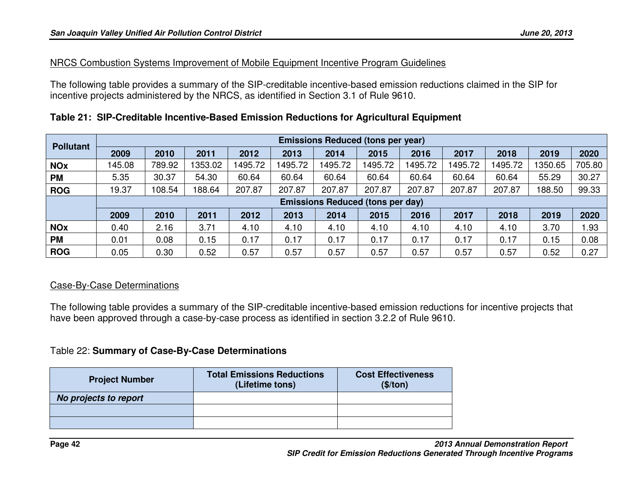#### NRCS Combustion Systems Improvement of Mobile Equipment Incentive Program Guidelines

The following table provides a summary of the SIP-creditable incentive-based emission reductions claimed in the SIP for incentive projects administered by the NRCS, as identified in Section 3.1 of Rule 9610.

| Table 21: SIP-Creditable Incentive-Based Emission Reductions for Agricultural Equipment |  |  |  |
|-----------------------------------------------------------------------------------------|--|--|--|
|                                                                                         |  |  |  |

| <b>Pollutant</b> | <b>Emissions Reduced (tons per year)</b> |        |         |         |         |         |         |         |         |         |         |        |
|------------------|------------------------------------------|--------|---------|---------|---------|---------|---------|---------|---------|---------|---------|--------|
|                  | 2009                                     | 2010   | 2011    | 2012    | 2013    | 2014    | 2015    | 2016    | 2017    | 2018    | 2019    | 2020   |
| <b>NOx</b>       | 145.08                                   | 789.92 | 1353.02 | 1495.72 | 1495.72 | 1495.72 | 1495.72 | 1495.72 | 1495.72 | 1495.72 | 1350.65 | 705.80 |
| <b>PM</b>        | 5.35                                     | 30.37  | 54.30   | 60.64   | 60.64   | 60.64   | 60.64   | 60.64   | 60.64   | 60.64   | 55.29   | 30.27  |
| <b>ROG</b>       | 19.37                                    | 08.54  | 188.64  | 207.87  | 207.87  | 207.87  | 207.87  | 207.87  | 207.87  | 207.87  | 188.50  | 99.33  |
|                  | <b>Emissions Reduced (tons per day)</b>  |        |         |         |         |         |         |         |         |         |         |        |
|                  | 2009                                     | 2010   | 2011    | 2012    | 2013    | 2014    | 2015    | 2016    | 2017    | 2018    | 2019    | 2020   |
| <b>NOx</b>       | 0.40                                     | 2.16   | 3.71    | 4.10    | 4.10    | 4.10    | 4.10    | 4.10    | 4.10    | 4.10    | 3.70    | l.93   |
| <b>PM</b>        | 0.01                                     | 0.08   | 0.15    | 0.17    | 0.17    | 0.17    | 0.17    | 0.17    | 0.17    | 0.17    | 0.15    | 0.08   |
| <b>ROG</b>       | 0.05                                     | 0.30   | 0.52    | 0.57    | 0.57    | 0.57    | 0.57    | 0.57    | 0.57    | 0.57    | 0.52    | 0.27   |

#### Case-By-Case Determinations

The following table provides a summary of the SIP-creditable incentive-based emission reductions for incentive projects that have been approved through a case-by-case process as identified in section 3.2.2 of Rule 9610.

#### Table 22: **Summary of Case-By-Case Determinations**

| <b>Project Number</b> | <b>Total Emissions Reductions</b><br>(Lifetime tons) | <b>Cost Effectiveness</b><br>(\$/ton) |  |  |
|-----------------------|------------------------------------------------------|---------------------------------------|--|--|
| No projects to report |                                                      |                                       |  |  |
|                       |                                                      |                                       |  |  |
|                       |                                                      |                                       |  |  |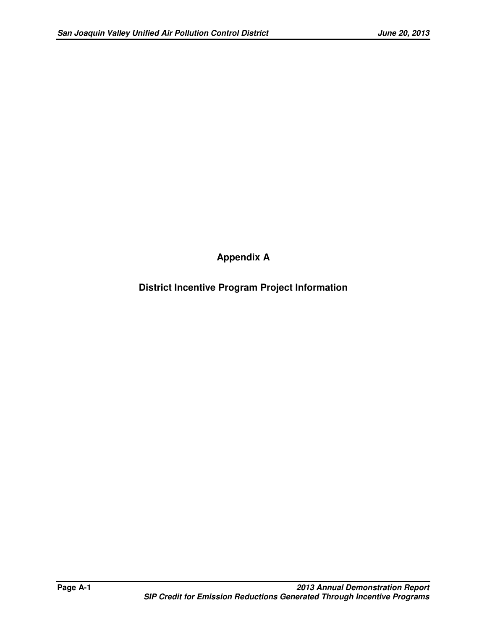**Appendix A** 

**District Incentive Program Project Information**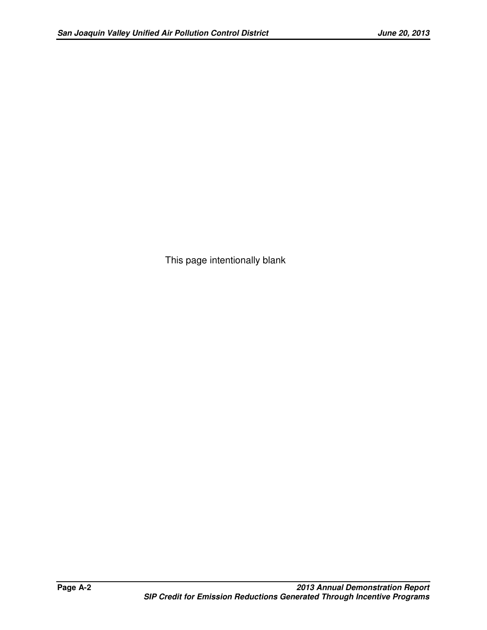This page intentionally blank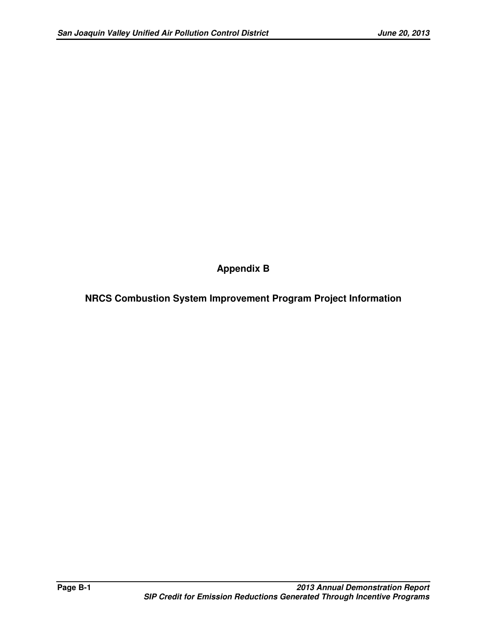**Appendix B** 

**NRCS Combustion System Improvement Program Project Information**